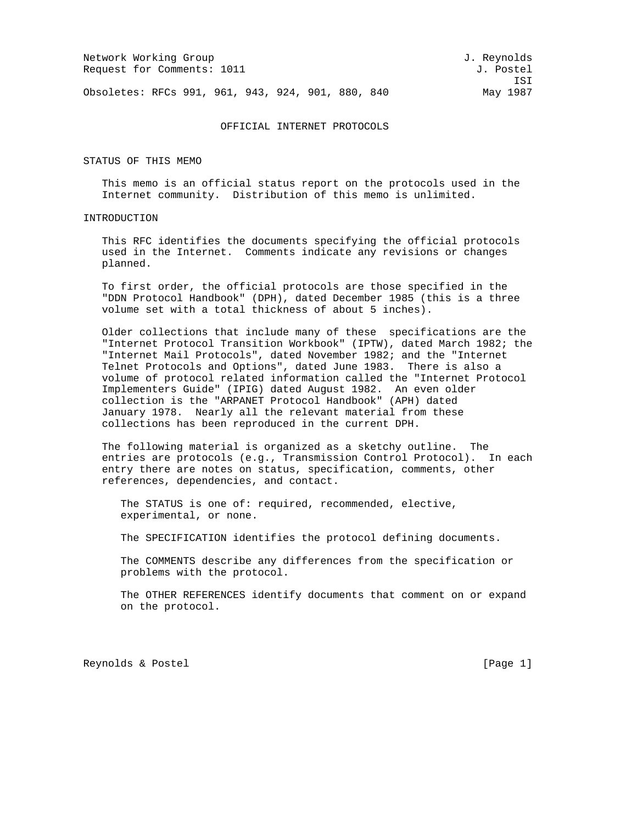|                                                     | J. Reynolds                                       |
|-----------------------------------------------------|---------------------------------------------------|
|                                                     | J. Postel                                         |
|                                                     | T.ST                                              |
|                                                     | May 1987                                          |
| Network Working Group<br>Request for Comments: 1011 | Obsoletes: RFCs 991, 961, 943, 924, 901, 880, 840 |

### OFFICIAL INTERNET PROTOCOLS

STATUS OF THIS MEMO

 This memo is an official status report on the protocols used in the Internet community. Distribution of this memo is unlimited.

# INTRODUCTION

 This RFC identifies the documents specifying the official protocols used in the Internet. Comments indicate any revisions or changes planned.

 To first order, the official protocols are those specified in the "DDN Protocol Handbook" (DPH), dated December 1985 (this is a three volume set with a total thickness of about 5 inches).

 Older collections that include many of these specifications are the "Internet Protocol Transition Workbook" (IPTW), dated March 1982; the "Internet Mail Protocols", dated November 1982; and the "Internet Telnet Protocols and Options", dated June 1983. There is also a volume of protocol related information called the "Internet Protocol Implementers Guide" (IPIG) dated August 1982. An even older collection is the "ARPANET Protocol Handbook" (APH) dated January 1978. Nearly all the relevant material from these collections has been reproduced in the current DPH.

 The following material is organized as a sketchy outline. The entries are protocols (e.g., Transmission Control Protocol). In each entry there are notes on status, specification, comments, other references, dependencies, and contact.

 The STATUS is one of: required, recommended, elective, experimental, or none.

The SPECIFICATION identifies the protocol defining documents.

 The COMMENTS describe any differences from the specification or problems with the protocol.

 The OTHER REFERENCES identify documents that comment on or expand on the protocol.

Reynolds & Postel **Example 2** (Page 1)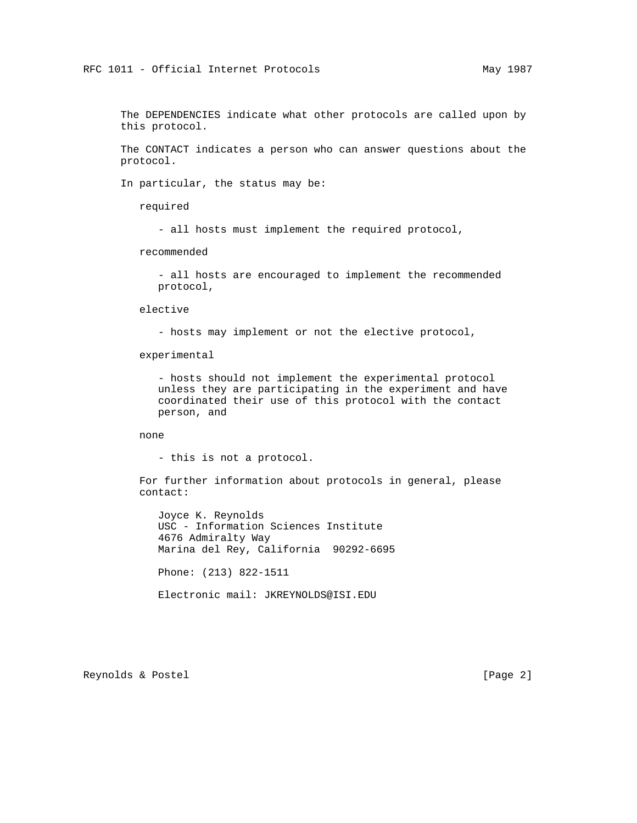The DEPENDENCIES indicate what other protocols are called upon by this protocol.

 The CONTACT indicates a person who can answer questions about the protocol.

In particular, the status may be:

required

- all hosts must implement the required protocol,

recommended

 - all hosts are encouraged to implement the recommended protocol,

elective

- hosts may implement or not the elective protocol,

experimental

 - hosts should not implement the experimental protocol unless they are participating in the experiment and have coordinated their use of this protocol with the contact person, and

none

- this is not a protocol.

 For further information about protocols in general, please contact:

 Joyce K. Reynolds USC - Information Sciences Institute 4676 Admiralty Way Marina del Rey, California 90292-6695 Phone: (213) 822-1511 Electronic mail: JKREYNOLDS@ISI.EDU

Reynolds & Postel [Page 2]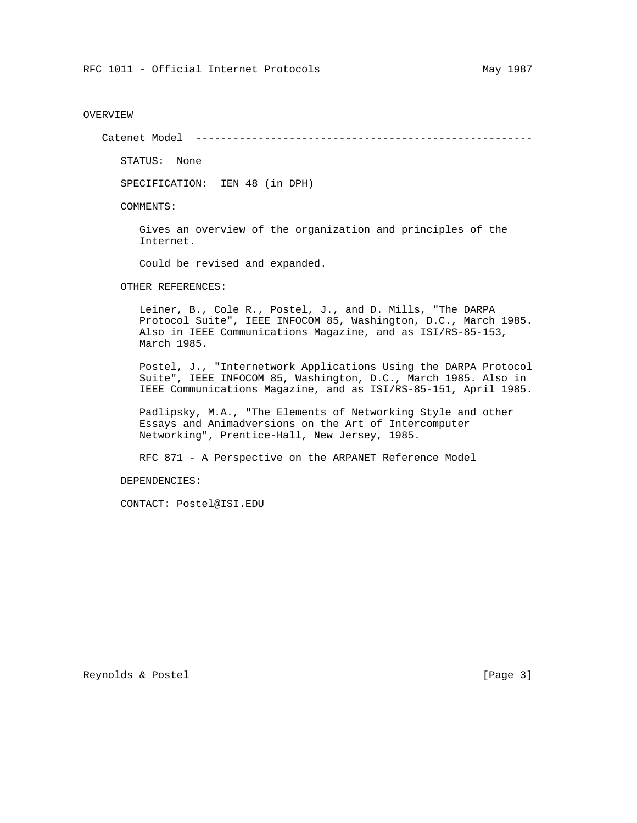## OVERVIEW

Catenet Model ------------------------------------------------------

STATUS: None

SPECIFICATION: IEN 48 (in DPH)

COMMENTS:

 Gives an overview of the organization and principles of the Internet.

Could be revised and expanded.

OTHER REFERENCES:

 Leiner, B., Cole R., Postel, J., and D. Mills, "The DARPA Protocol Suite", IEEE INFOCOM 85, Washington, D.C., March 1985. Also in IEEE Communications Magazine, and as ISI/RS-85-153, March 1985.

 Postel, J., "Internetwork Applications Using the DARPA Protocol Suite", IEEE INFOCOM 85, Washington, D.C., March 1985. Also in IEEE Communications Magazine, and as ISI/RS-85-151, April 1985.

 Padlipsky, M.A., "The Elements of Networking Style and other Essays and Animadversions on the Art of Intercomputer Networking", Prentice-Hall, New Jersey, 1985.

RFC 871 - A Perspective on the ARPANET Reference Model

DEPENDENCIES:

CONTACT: Postel@ISI.EDU

Reynolds & Postel [Page 3]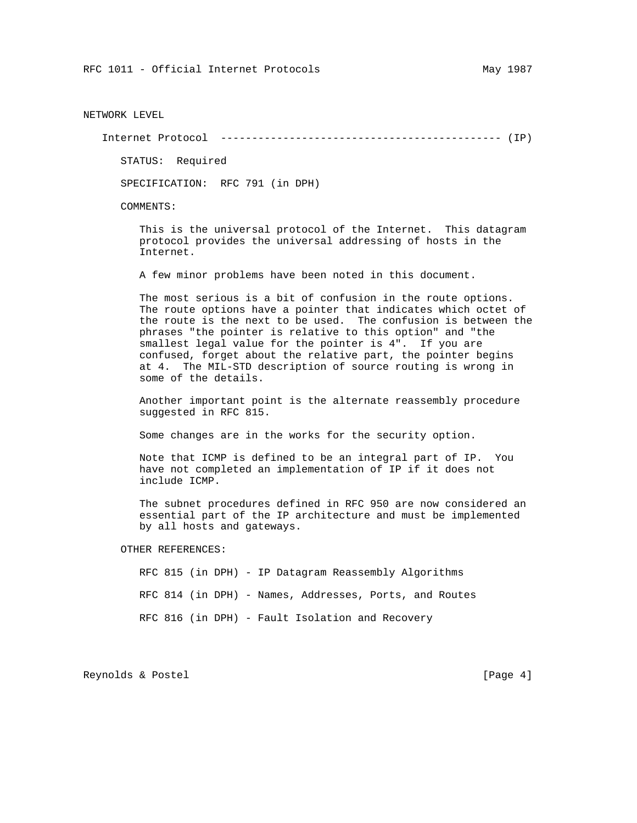NETWORK LEVEL

Internet Protocol --------------------------------------------- (IP)

STATUS: Required

SPECIFICATION: RFC 791 (in DPH)

COMMENTS:

 This is the universal protocol of the Internet. This datagram protocol provides the universal addressing of hosts in the Internet.

A few minor problems have been noted in this document.

 The most serious is a bit of confusion in the route options. The route options have a pointer that indicates which octet of the route is the next to be used. The confusion is between the phrases "the pointer is relative to this option" and "the smallest legal value for the pointer is 4". If you are confused, forget about the relative part, the pointer begins at 4. The MIL-STD description of source routing is wrong in some of the details.

 Another important point is the alternate reassembly procedure suggested in RFC 815.

Some changes are in the works for the security option.

 Note that ICMP is defined to be an integral part of IP. You have not completed an implementation of IP if it does not include ICMP.

 The subnet procedures defined in RFC 950 are now considered an essential part of the IP architecture and must be implemented by all hosts and gateways.

OTHER REFERENCES:

 RFC 815 (in DPH) - IP Datagram Reassembly Algorithms RFC 814 (in DPH) - Names, Addresses, Ports, and Routes RFC 816 (in DPH) - Fault Isolation and Recovery

Reynolds & Postel [Page 4]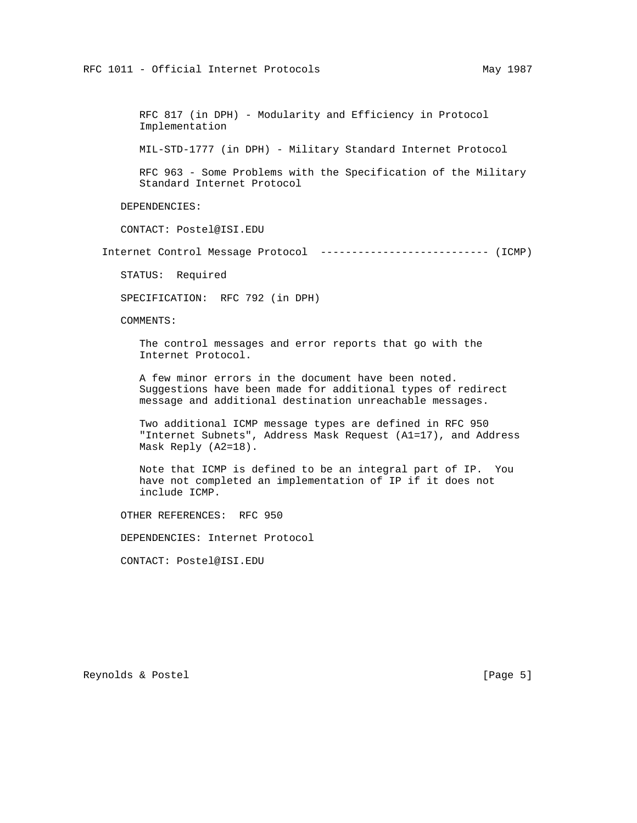RFC 817 (in DPH) - Modularity and Efficiency in Protocol Implementation

MIL-STD-1777 (in DPH) - Military Standard Internet Protocol

 RFC 963 - Some Problems with the Specification of the Military Standard Internet Protocol

DEPENDENCIES:

CONTACT: Postel@ISI.EDU

Internet Control Message Protocol --------------------------- (ICMP)

STATUS: Required

SPECIFICATION: RFC 792 (in DPH)

COMMENTS:

 The control messages and error reports that go with the Internet Protocol.

 A few minor errors in the document have been noted. Suggestions have been made for additional types of redirect message and additional destination unreachable messages.

 Two additional ICMP message types are defined in RFC 950 "Internet Subnets", Address Mask Request (A1=17), and Address Mask Reply (A2=18).

 Note that ICMP is defined to be an integral part of IP. You have not completed an implementation of IP if it does not include ICMP.

OTHER REFERENCES: RFC 950

DEPENDENCIES: Internet Protocol

CONTACT: Postel@ISI.EDU

Reynolds & Postel [Page 5]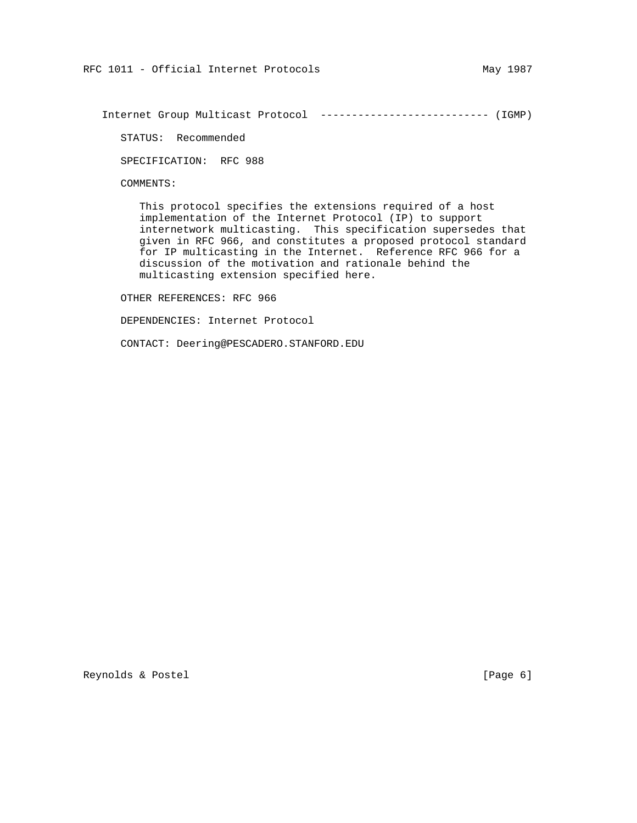Internet Group Multicast Protocol --------------------------- (IGMP)

STATUS: Recommended

SPECIFICATION: RFC 988

COMMENTS:

 This protocol specifies the extensions required of a host implementation of the Internet Protocol (IP) to support internetwork multicasting. This specification supersedes that given in RFC 966, and constitutes a proposed protocol standard for IP multicasting in the Internet. Reference RFC 966 for a discussion of the motivation and rationale behind the multicasting extension specified here.

OTHER REFERENCES: RFC 966

DEPENDENCIES: Internet Protocol

CONTACT: Deering@PESCADERO.STANFORD.EDU

Reynolds & Postel (Page 6)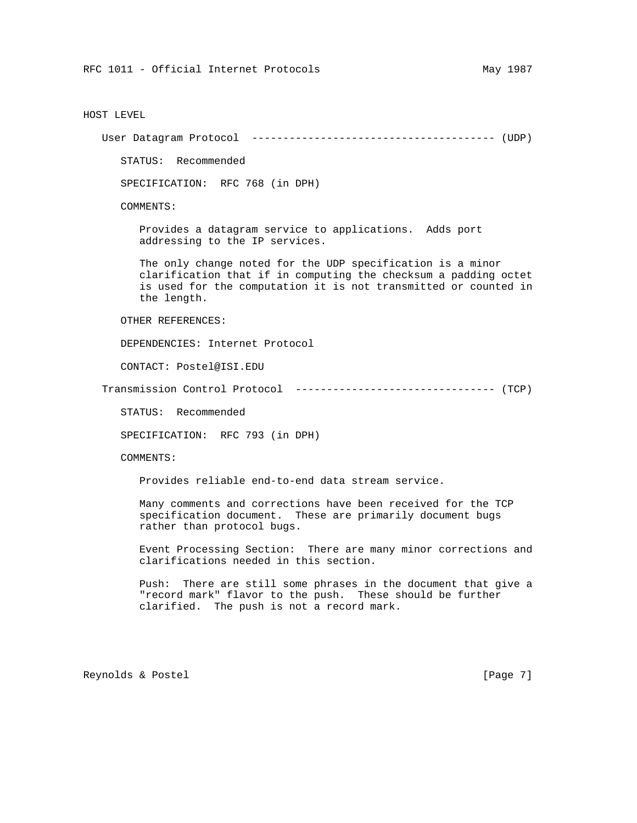#### HOST LEVEL

User Datagram Protocol --------------------------------------- (UDP)

STATUS: Recommended

SPECIFICATION: RFC 768 (in DPH)

COMMENTS:

 Provides a datagram service to applications. Adds port addressing to the IP services.

 The only change noted for the UDP specification is a minor clarification that if in computing the checksum a padding octet is used for the computation it is not transmitted or counted in the length.

OTHER REFERENCES:

DEPENDENCIES: Internet Protocol

CONTACT: Postel@ISI.EDU

Transmission Control Protocol -------------------------------- (TCP)

STATUS: Recommended

SPECIFICATION: RFC 793 (in DPH)

COMMENTS:

Provides reliable end-to-end data stream service.

 Many comments and corrections have been received for the TCP specification document. These are primarily document bugs rather than protocol bugs.

 Event Processing Section: There are many minor corrections and clarifications needed in this section.

 Push: There are still some phrases in the document that give a "record mark" flavor to the push. These should be further clarified. The push is not a record mark.

Reynolds & Postel [Page 7]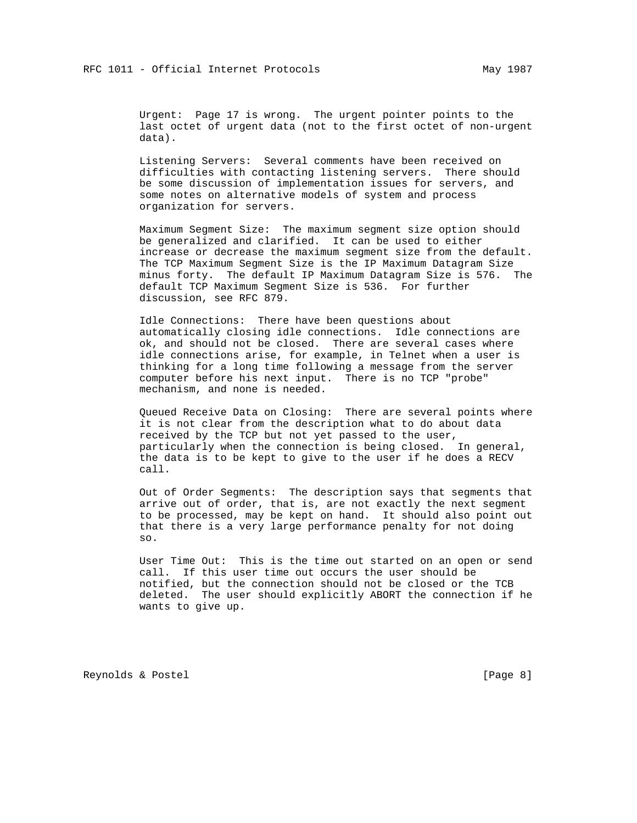Urgent: Page 17 is wrong. The urgent pointer points to the last octet of urgent data (not to the first octet of non-urgent data).

 Listening Servers: Several comments have been received on difficulties with contacting listening servers. There should be some discussion of implementation issues for servers, and some notes on alternative models of system and process organization for servers.

 Maximum Segment Size: The maximum segment size option should be generalized and clarified. It can be used to either increase or decrease the maximum segment size from the default. The TCP Maximum Segment Size is the IP Maximum Datagram Size minus forty. The default IP Maximum Datagram Size is 576. The default TCP Maximum Segment Size is 536. For further discussion, see RFC 879.

 Idle Connections: There have been questions about automatically closing idle connections. Idle connections are ok, and should not be closed. There are several cases where idle connections arise, for example, in Telnet when a user is thinking for a long time following a message from the server computer before his next input. There is no TCP "probe" mechanism, and none is needed.

 Queued Receive Data on Closing: There are several points where it is not clear from the description what to do about data received by the TCP but not yet passed to the user, particularly when the connection is being closed. In general, the data is to be kept to give to the user if he does a RECV call.

 Out of Order Segments: The description says that segments that arrive out of order, that is, are not exactly the next segment to be processed, may be kept on hand. It should also point out that there is a very large performance penalty for not doing so.

 User Time Out: This is the time out started on an open or send call. If this user time out occurs the user should be notified, but the connection should not be closed or the TCB deleted. The user should explicitly ABORT the connection if he wants to give up.

Reynolds & Postel [Page 8]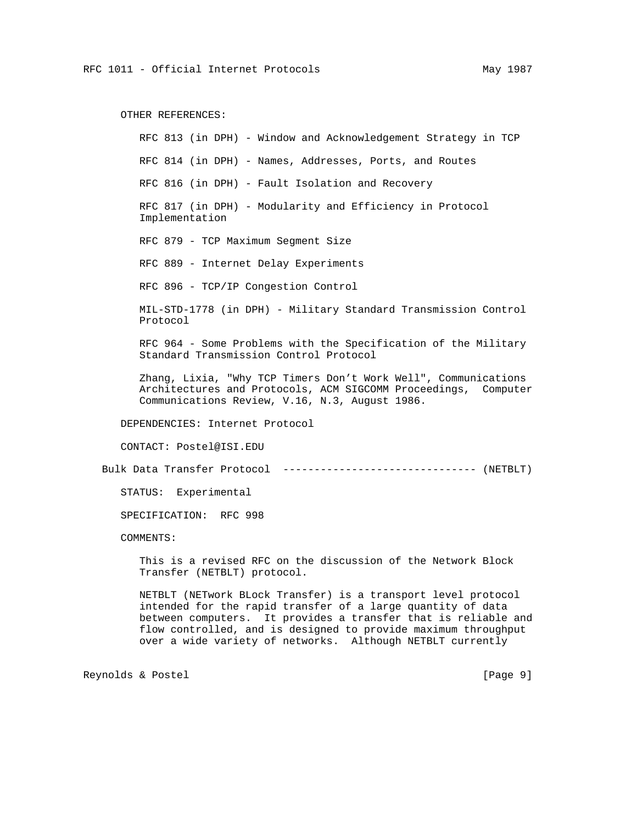OTHER REFERENCES:

 RFC 813 (in DPH) - Window and Acknowledgement Strategy in TCP RFC 814 (in DPH) - Names, Addresses, Ports, and Routes RFC 816 (in DPH) - Fault Isolation and Recovery RFC 817 (in DPH) - Modularity and Efficiency in Protocol Implementation RFC 879 - TCP Maximum Segment Size RFC 889 - Internet Delay Experiments RFC 896 - TCP/IP Congestion Control MIL-STD-1778 (in DPH) - Military Standard Transmission Control Protocol RFC 964 - Some Problems with the Specification of the Military Standard Transmission Control Protocol Zhang, Lixia, "Why TCP Timers Don't Work Well", Communications Architectures and Protocols, ACM SIGCOMM Proceedings, Computer Communications Review, V.16, N.3, August 1986. DEPENDENCIES: Internet Protocol CONTACT: Postel@ISI.EDU Bulk Data Transfer Protocol ------------------------------- (NETBLT) STATUS: Experimental

SPECIFICATION: RFC 998

COMMENTS:

 This is a revised RFC on the discussion of the Network Block Transfer (NETBLT) protocol.

 NETBLT (NETwork BLock Transfer) is a transport level protocol intended for the rapid transfer of a large quantity of data between computers. It provides a transfer that is reliable and flow controlled, and is designed to provide maximum throughput over a wide variety of networks. Although NETBLT currently

Reynolds & Postel [Page 9]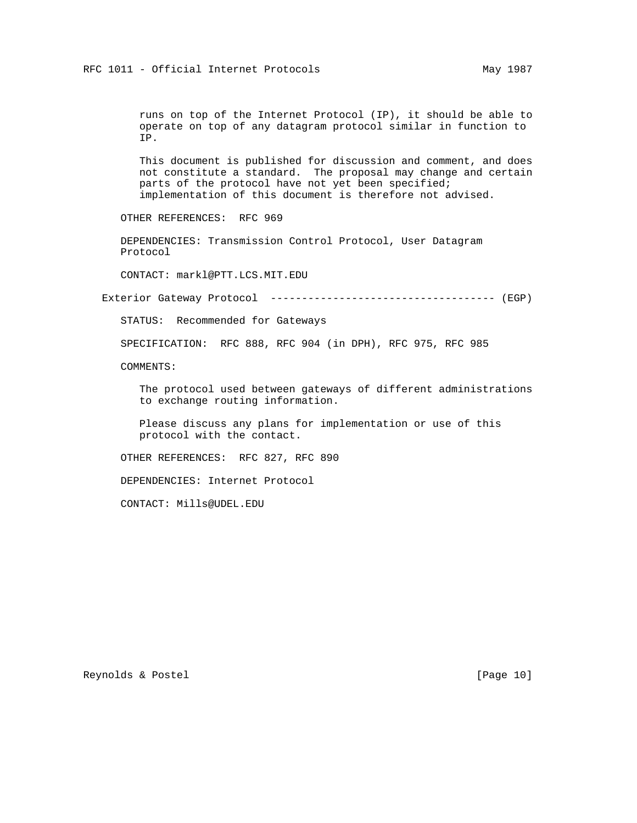runs on top of the Internet Protocol (IP), it should be able to operate on top of any datagram protocol similar in function to IP.

 This document is published for discussion and comment, and does not constitute a standard. The proposal may change and certain parts of the protocol have not yet been specified; implementation of this document is therefore not advised.

OTHER REFERENCES: RFC 969

 DEPENDENCIES: Transmission Control Protocol, User Datagram Protocol

CONTACT: markl@PTT.LCS.MIT.EDU

Exterior Gateway Protocol ------------------------------------ (EGP)

STATUS: Recommended for Gateways

SPECIFICATION: RFC 888, RFC 904 (in DPH), RFC 975, RFC 985

COMMENTS:

 The protocol used between gateways of different administrations to exchange routing information.

 Please discuss any plans for implementation or use of this protocol with the contact.

OTHER REFERENCES: RFC 827, RFC 890

DEPENDENCIES: Internet Protocol

CONTACT: Mills@UDEL.EDU

Reynolds & Postel [Page 10]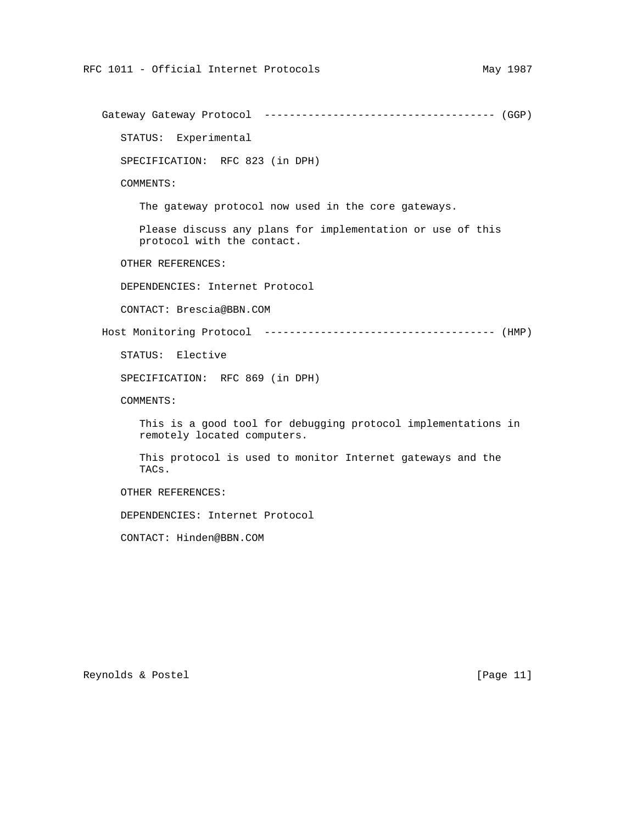Gateway Gateway Protocol ------------------------------------- (GGP) STATUS: Experimental SPECIFICATION: RFC 823 (in DPH) COMMENTS: The gateway protocol now used in the core gateways. Please discuss any plans for implementation or use of this protocol with the contact. OTHER REFERENCES: DEPENDENCIES: Internet Protocol CONTACT: Brescia@BBN.COM Host Monitoring Protocol ------------------------------------- (HMP) STATUS: Elective SPECIFICATION: RFC 869 (in DPH) COMMENTS: This is a good tool for debugging protocol implementations in remotely located computers. This protocol is used to monitor Internet gateways and the TACs. OTHER REFERENCES: DEPENDENCIES: Internet Protocol CONTACT: Hinden@BBN.COM

Reynolds & Postel [Page 11]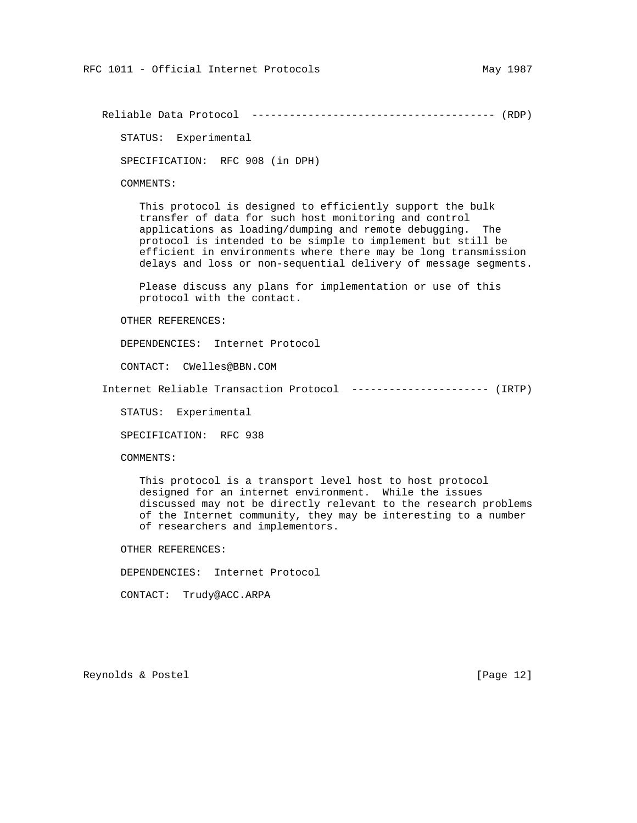Reliable Data Protocol --------------------------------------- (RDP)

STATUS: Experimental

SPECIFICATION: RFC 908 (in DPH)

COMMENTS:

 This protocol is designed to efficiently support the bulk transfer of data for such host monitoring and control applications as loading/dumping and remote debugging. The protocol is intended to be simple to implement but still be efficient in environments where there may be long transmission delays and loss or non-sequential delivery of message segments.

 Please discuss any plans for implementation or use of this protocol with the contact.

OTHER REFERENCES:

DEPENDENCIES: Internet Protocol

CONTACT: CWelles@BBN.COM

Internet Reliable Transaction Protocol ---------------------- (IRTP)

STATUS: Experimental

SPECIFICATION: RFC 938

COMMENTS:

 This protocol is a transport level host to host protocol designed for an internet environment. While the issues discussed may not be directly relevant to the research problems of the Internet community, they may be interesting to a number of researchers and implementors.

OTHER REFERENCES:

DEPENDENCIES: Internet Protocol

CONTACT: Trudy@ACC.ARPA

Reynolds & Postel [Page 12]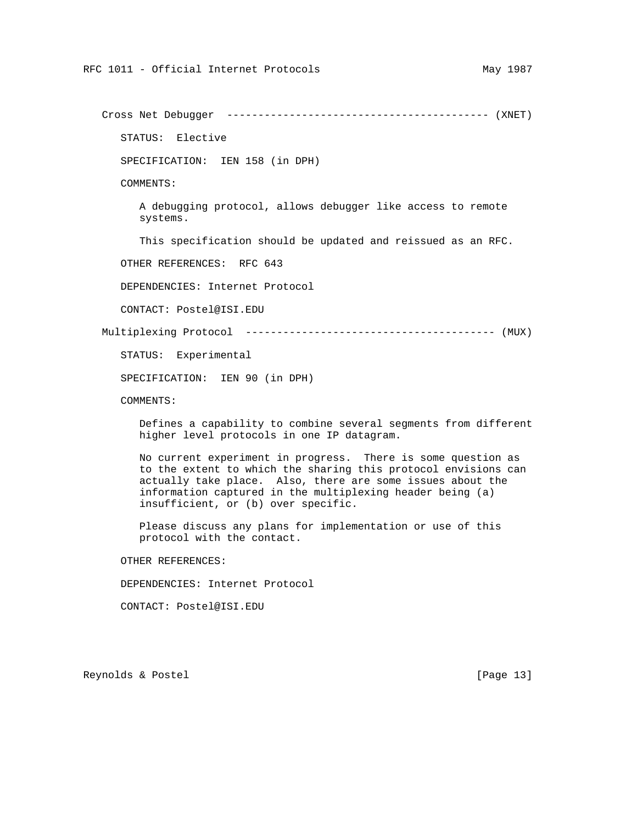Cross Net Debugger ------------------------------------------ (XNET)

STATUS: Elective

SPECIFICATION: IEN 158 (in DPH)

COMMENTS:

 A debugging protocol, allows debugger like access to remote systems.

This specification should be updated and reissued as an RFC.

OTHER REFERENCES: RFC 643

DEPENDENCIES: Internet Protocol

CONTACT: Postel@ISI.EDU

Multiplexing Protocol ---------------------------------------- (MUX)

STATUS: Experimental

SPECIFICATION: IEN 90 (in DPH)

COMMENTS:

 Defines a capability to combine several segments from different higher level protocols in one IP datagram.

 No current experiment in progress. There is some question as to the extent to which the sharing this protocol envisions can actually take place. Also, there are some issues about the information captured in the multiplexing header being (a) insufficient, or (b) over specific.

 Please discuss any plans for implementation or use of this protocol with the contact.

OTHER REFERENCES:

DEPENDENCIES: Internet Protocol

CONTACT: Postel@ISI.EDU

Reynolds & Postel [Page 13]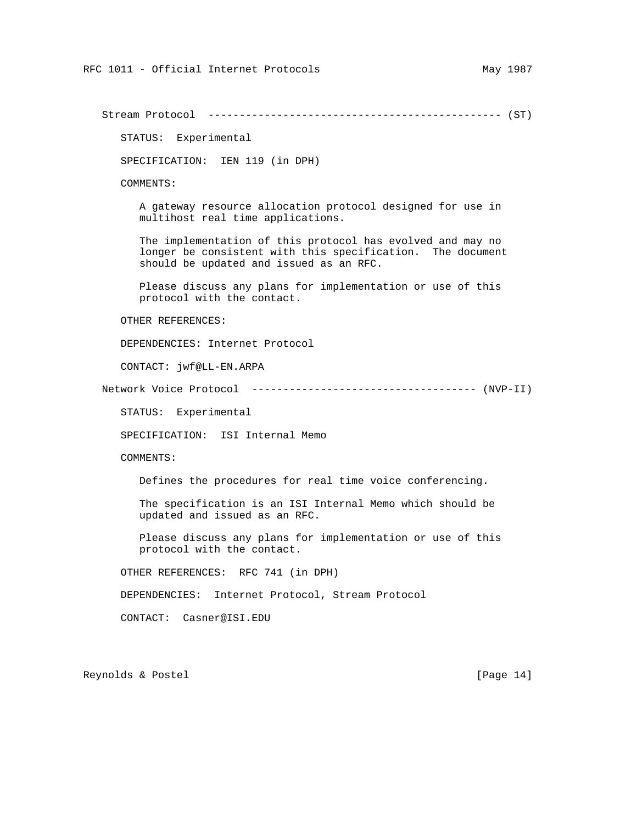STATUS: Experimental SPECIFICATION: IEN 119 (in DPH) COMMENTS: A gateway resource allocation protocol designed for use in multihost real time applications. The implementation of this protocol has evolved and may no longer be consistent with this specification. The document should be updated and issued as an RFC. Please discuss any plans for implementation or use of this protocol with the contact. OTHER REFERENCES: DEPENDENCIES: Internet Protocol CONTACT: jwf@LL-EN.ARPA Network Voice Protocol ------------------------------------ (NVP-II) STATUS: Experimental SPECIFICATION: ISI Internal Memo COMMENTS: Defines the procedures for real time voice conferencing. The specification is an ISI Internal Memo which should be updated and issued as an RFC. Please discuss any plans for implementation or use of this protocol with the contact. OTHER REFERENCES: RFC 741 (in DPH) DEPENDENCIES: Internet Protocol, Stream Protocol CONTACT: Casner@ISI.EDU Reynolds & Postel [Page 14]

Stream Protocol ----------------------------------------------- (ST)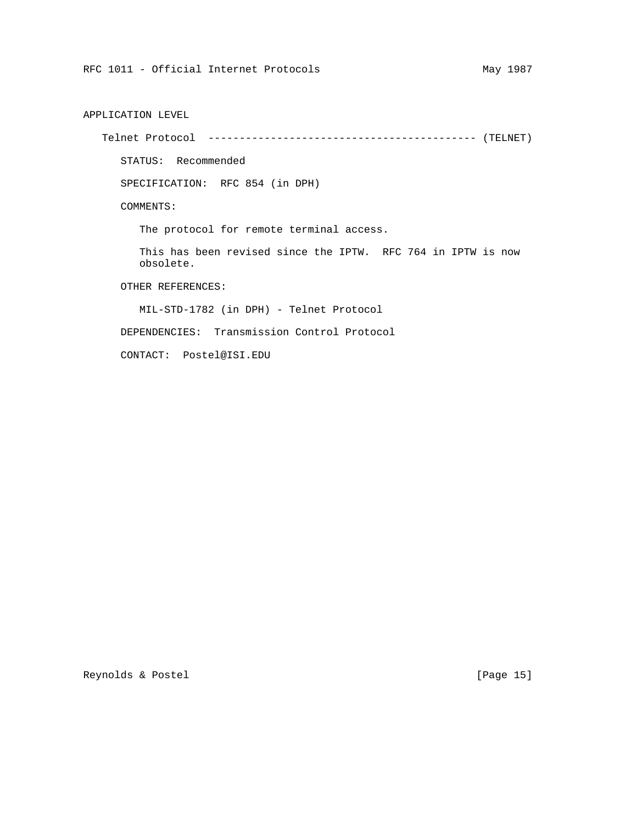APPLICATION LEVEL Telnet Protocol ------------------------------------------- (TELNET) STATUS: Recommended SPECIFICATION: RFC 854 (in DPH) COMMENTS: The protocol for remote terminal access. This has been revised since the IPTW. RFC 764 in IPTW is now obsolete. OTHER REFERENCES: MIL-STD-1782 (in DPH) - Telnet Protocol DEPENDENCIES: Transmission Control Protocol

CONTACT: Postel@ISI.EDU

Reynolds & Postel [Page 15]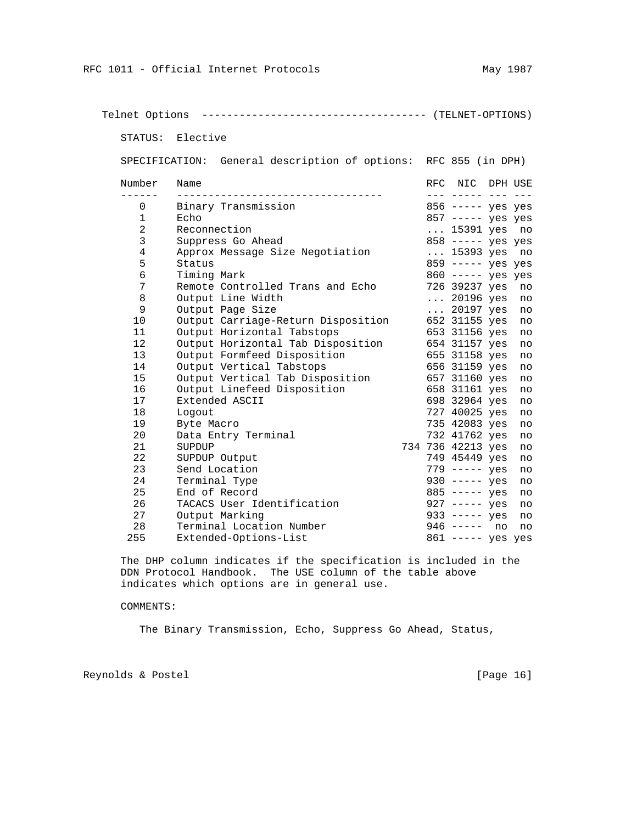Telnet Options ------------------------------------ (TELNET-OPTIONS) STATUS: Elective SPECIFICATION: General description of options: RFC 855 (in DPH) Number Name **RFC NIC DPH USE**  ------ --------------------------------- --- ----- --- --- 0 Binary Transmission 856 ----- yes yes 1 Echo 857 ----- yes yes 2 Reconnection ... 15391 yes no 3 Suppress Go Ahead 858 ----- yes yes 4 Approx Message Size Negotiation ... 15393 yes no<br>5 Status 859 ---- yes yes 5 Status 859 ----- yes yes 6 Timing Mark 860 ----- yes yes<br>7 Remote Controlled Trans and Echo 89237 yes no Remote Controlled Trans and Echo 8 Output Line Width ... 20196 yes no 9 Output Page Size ... 20197 yes no 10 Output Carriage-Return Disposition 652 31155 yes no 11 Output Horizontal Tabstops 653 31156 yes no 12 Output Horizontal Tab Disposition 654 31157 yes no 13 Output Formfeed Disposition 655 31158 yes no 14 Output Vertical Tabstops 656 31159 yes no 15 Output Vertical Tab Disposition 657 31160 yes no 16 Output Linefeed Disposition 658 31161 yes no 17 Extended ASCII 698 32964 yes no 18 Logout 727 40025 yes no 19 Byte Macro 735 42083 yes no 20 Data Entry Terminal 732 41762 yes no 21 SUPDUP 734 736 42213 yes no 22 SUPDUP Output 749 45449 yes no 23 Send Location 24 Send Location 24 Send Terminal Type 2012 Contracts 2012 Contracts 2012 Contracts 2012 Contracts 2012 Contracts 2012 Contracts 2012 Contracts 2012 Contracts 2012 Contracts 2012 Contracts 2012 Contracts 2 24 Terminal Type 930 ----- yes no 25 End of Record<br>26 TACACS User Identification 327 ----- yes no 26 TACACS User Identification 27 Output Marking<br>
28 Terminal Location Number 946 ----- no no 28 Terminal Location Number 255 Extended-Options-List 861 ----- yes yes

 The DHP column indicates if the specification is included in the DDN Protocol Handbook. The USE column of the table above indicates which options are in general use.

## COMMENTS:

The Binary Transmission, Echo, Suppress Go Ahead, Status,

Reynolds & Postel [Page 16]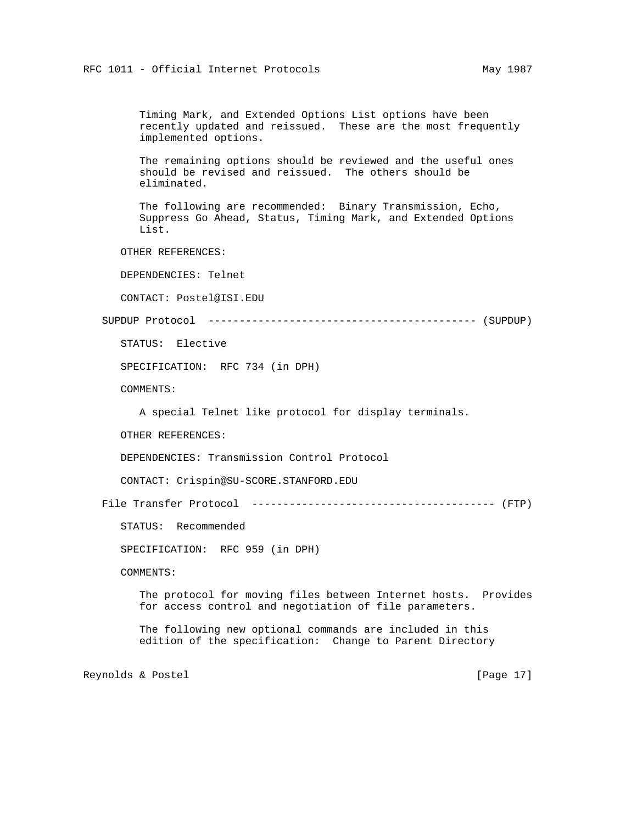Timing Mark, and Extended Options List options have been recently updated and reissued. These are the most frequently implemented options.

 The remaining options should be reviewed and the useful ones should be revised and reissued. The others should be eliminated.

 The following are recommended: Binary Transmission, Echo, Suppress Go Ahead, Status, Timing Mark, and Extended Options List.

OTHER REFERENCES:

DEPENDENCIES: Telnet

CONTACT: Postel@ISI.EDU

SUPDUP Protocol ------------------------------------------- (SUPDUP)

STATUS: Elective

SPECIFICATION: RFC 734 (in DPH)

COMMENTS:

A special Telnet like protocol for display terminals.

OTHER REFERENCES:

DEPENDENCIES: Transmission Control Protocol

CONTACT: Crispin@SU-SCORE.STANFORD.EDU

File Transfer Protocol --------------------------------------- (FTP)

STATUS: Recommended

SPECIFICATION: RFC 959 (in DPH)

COMMENTS:

 The protocol for moving files between Internet hosts. Provides for access control and negotiation of file parameters.

 The following new optional commands are included in this edition of the specification: Change to Parent Directory

Reynolds & Postel [Page 17]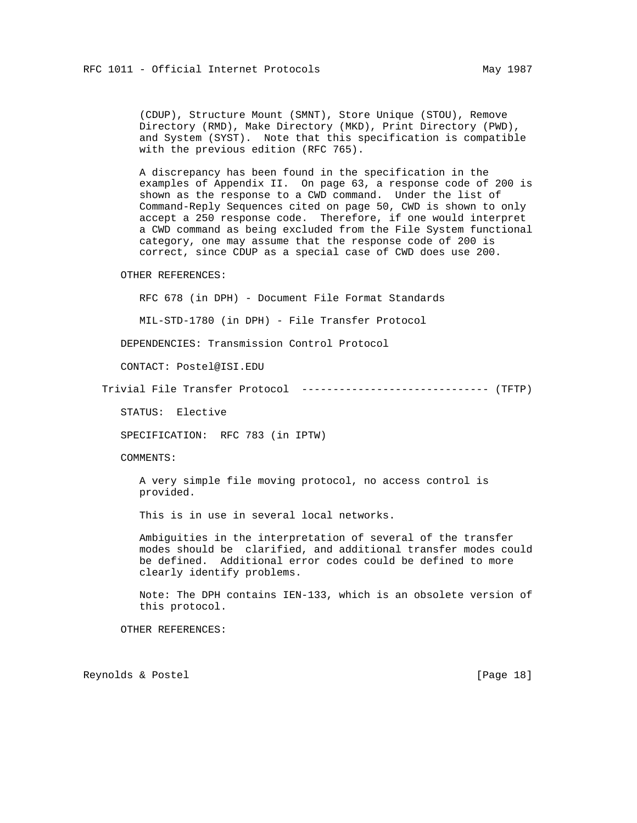(CDUP), Structure Mount (SMNT), Store Unique (STOU), Remove Directory (RMD), Make Directory (MKD), Print Directory (PWD), and System (SYST). Note that this specification is compatible with the previous edition (RFC 765).

 A discrepancy has been found in the specification in the examples of Appendix II. On page 63, a response code of 200 is shown as the response to a CWD command. Under the list of Command-Reply Sequences cited on page 50, CWD is shown to only accept a 250 response code. Therefore, if one would interpret a CWD command as being excluded from the File System functional category, one may assume that the response code of 200 is correct, since CDUP as a special case of CWD does use 200.

OTHER REFERENCES:

RFC 678 (in DPH) - Document File Format Standards

MIL-STD-1780 (in DPH) - File Transfer Protocol

DEPENDENCIES: Transmission Control Protocol

CONTACT: Postel@ISI.EDU

Trivial File Transfer Protocol ------------------------------ (TFTP)

STATUS: Elective

SPECIFICATION: RFC 783 (in IPTW)

COMMENTS:

 A very simple file moving protocol, no access control is provided.

This is in use in several local networks.

 Ambiguities in the interpretation of several of the transfer modes should be clarified, and additional transfer modes could be defined. Additional error codes could be defined to more clearly identify problems.

 Note: The DPH contains IEN-133, which is an obsolete version of this protocol.

OTHER REFERENCES:

Reynolds & Postel [Page 18]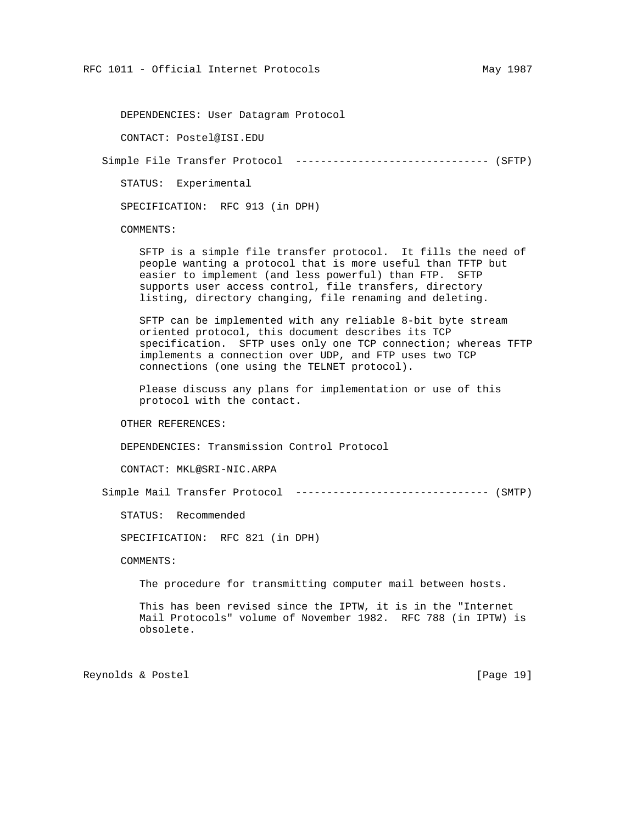DEPENDENCIES: User Datagram Protocol

CONTACT: Postel@ISI.EDU

Simple File Transfer Protocol ------------------------------- (SFTP)

STATUS: Experimental

SPECIFICATION: RFC 913 (in DPH)

COMMENTS:

 SFTP is a simple file transfer protocol. It fills the need of people wanting a protocol that is more useful than TFTP but easier to implement (and less powerful) than FTP. SFTP supports user access control, file transfers, directory listing, directory changing, file renaming and deleting.

 SFTP can be implemented with any reliable 8-bit byte stream oriented protocol, this document describes its TCP specification. SFTP uses only one TCP connection; whereas TFTP implements a connection over UDP, and FTP uses two TCP connections (one using the TELNET protocol).

 Please discuss any plans for implementation or use of this protocol with the contact.

OTHER REFERENCES:

DEPENDENCIES: Transmission Control Protocol

CONTACT: MKL@SRI-NIC.ARPA

Simple Mail Transfer Protocol ------------------------------- (SMTP)

STATUS: Recommended

SPECIFICATION: RFC 821 (in DPH)

COMMENTS:

The procedure for transmitting computer mail between hosts.

 This has been revised since the IPTW, it is in the "Internet Mail Protocols" volume of November 1982. RFC 788 (in IPTW) is obsolete.

Reynolds & Postel [Page 19]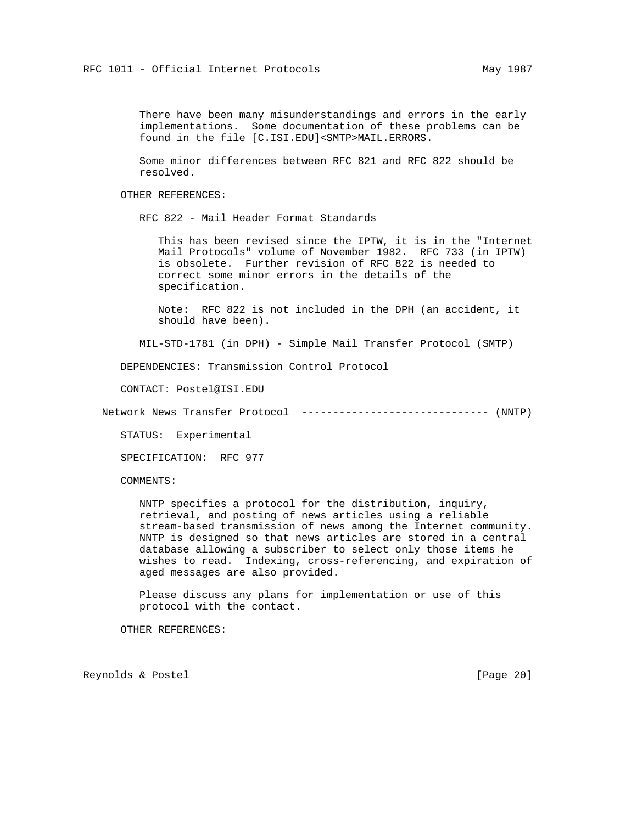There have been many misunderstandings and errors in the early implementations. Some documentation of these problems can be found in the file [C.ISI.EDU]<SMTP>MAIL.ERRORS.

 Some minor differences between RFC 821 and RFC 822 should be resolved.

OTHER REFERENCES:

RFC 822 - Mail Header Format Standards

 This has been revised since the IPTW, it is in the "Internet Mail Protocols" volume of November 1982. RFC 733 (in IPTW) is obsolete. Further revision of RFC 822 is needed to correct some minor errors in the details of the specification.

 Note: RFC 822 is not included in the DPH (an accident, it should have been).

MIL-STD-1781 (in DPH) - Simple Mail Transfer Protocol (SMTP)

DEPENDENCIES: Transmission Control Protocol

CONTACT: Postel@ISI.EDU

Network News Transfer Protocol ------------------------------ (NNTP)

STATUS: Experimental

SPECIFICATION: RFC 977

COMMENTS:

 NNTP specifies a protocol for the distribution, inquiry, retrieval, and posting of news articles using a reliable stream-based transmission of news among the Internet community. NNTP is designed so that news articles are stored in a central database allowing a subscriber to select only those items he wishes to read. Indexing, cross-referencing, and expiration of aged messages are also provided.

 Please discuss any plans for implementation or use of this protocol with the contact.

OTHER REFERENCES:

Reynolds & Postel [Page 20]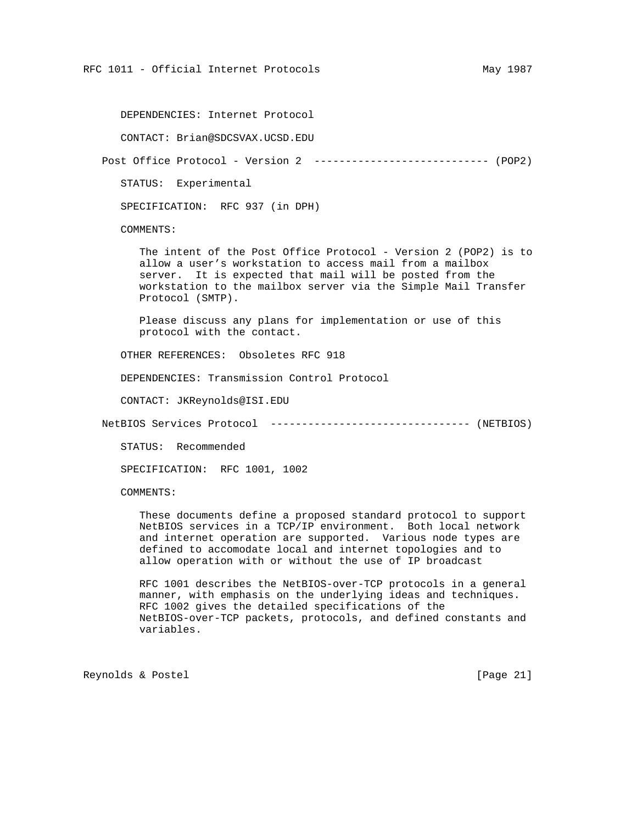DEPENDENCIES: Internet Protocol

CONTACT: Brian@SDCSVAX.UCSD.EDU

Post Office Protocol - Version 2 ---------------------------- (POP2)

STATUS: Experimental

SPECIFICATION: RFC 937 (in DPH)

COMMENTS:

 The intent of the Post Office Protocol - Version 2 (POP2) is to allow a user's workstation to access mail from a mailbox server. It is expected that mail will be posted from the workstation to the mailbox server via the Simple Mail Transfer Protocol (SMTP).

 Please discuss any plans for implementation or use of this protocol with the contact.

OTHER REFERENCES: Obsoletes RFC 918

DEPENDENCIES: Transmission Control Protocol

CONTACT: JKReynolds@ISI.EDU

NetBIOS Services Protocol -------------------------------- (NETBIOS)

STATUS: Recommended

SPECIFICATION: RFC 1001, 1002

COMMENTS:

 These documents define a proposed standard protocol to support NetBIOS services in a TCP/IP environment. Both local network and internet operation are supported. Various node types are defined to accomodate local and internet topologies and to allow operation with or without the use of IP broadcast

 RFC 1001 describes the NetBIOS-over-TCP protocols in a general manner, with emphasis on the underlying ideas and techniques. RFC 1002 gives the detailed specifications of the NetBIOS-over-TCP packets, protocols, and defined constants and variables.

Reynolds & Postel [Page 21]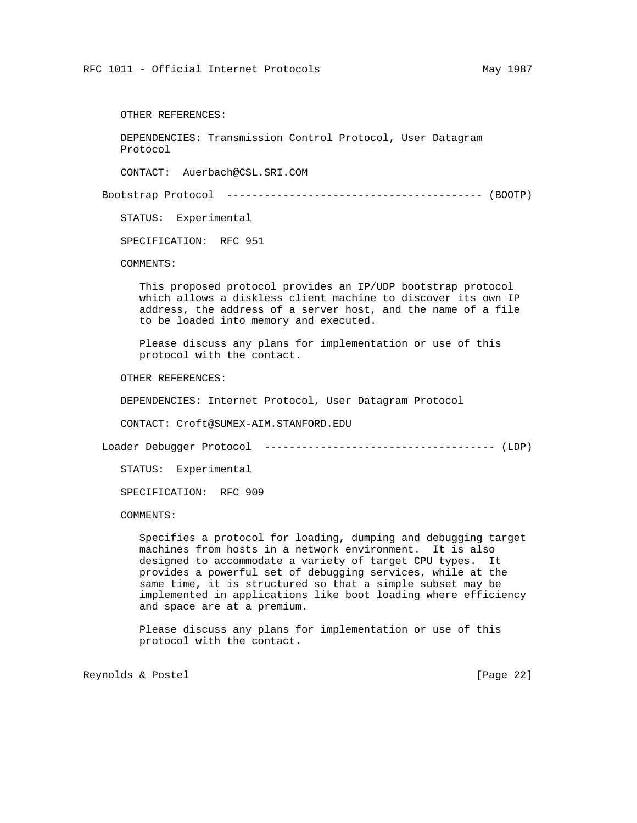OTHER REFERENCES:

 DEPENDENCIES: Transmission Control Protocol, User Datagram Protocol

CONTACT: Auerbach@CSL.SRI.COM

Bootstrap Protocol ----------------------------------------- (BOOTP)

STATUS: Experimental

SPECIFICATION: RFC 951

COMMENTS:

 This proposed protocol provides an IP/UDP bootstrap protocol which allows a diskless client machine to discover its own IP address, the address of a server host, and the name of a file to be loaded into memory and executed.

 Please discuss any plans for implementation or use of this protocol with the contact.

OTHER REFERENCES:

DEPENDENCIES: Internet Protocol, User Datagram Protocol

CONTACT: Croft@SUMEX-AIM.STANFORD.EDU

Loader Debugger Protocol ------------------------------------- (LDP)

STATUS: Experimental

SPECIFICATION: RFC 909

COMMENTS:

 Specifies a protocol for loading, dumping and debugging target machines from hosts in a network environment. It is also designed to accommodate a variety of target CPU types. It provides a powerful set of debugging services, while at the same time, it is structured so that a simple subset may be implemented in applications like boot loading where efficiency and space are at a premium.

 Please discuss any plans for implementation or use of this protocol with the contact.

Reynolds & Postel [Page 22]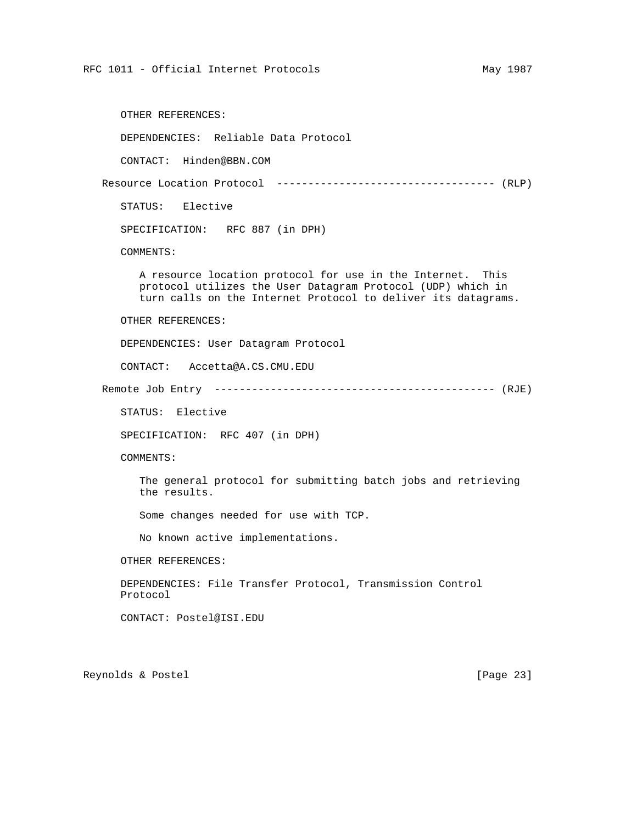OTHER REFERENCES:

DEPENDENCIES: Reliable Data Protocol

CONTACT: Hinden@BBN.COM

Resource Location Protocol ----------------------------------- (RLP)

STATUS: Elective

SPECIFICATION: RFC 887 (in DPH)

COMMENTS:

 A resource location protocol for use in the Internet. This protocol utilizes the User Datagram Protocol (UDP) which in turn calls on the Internet Protocol to deliver its datagrams.

OTHER REFERENCES:

DEPENDENCIES: User Datagram Protocol

CONTACT: Accetta@A.CS.CMU.EDU

Remote Job Entry --------------------------------------------- (RJE)

STATUS: Elective

SPECIFICATION: RFC 407 (in DPH)

COMMENTS:

 The general protocol for submitting batch jobs and retrieving the results.

Some changes needed for use with TCP.

No known active implementations.

OTHER REFERENCES:

 DEPENDENCIES: File Transfer Protocol, Transmission Control Protocol

CONTACT: Postel@ISI.EDU

Reynolds & Postel [Page 23]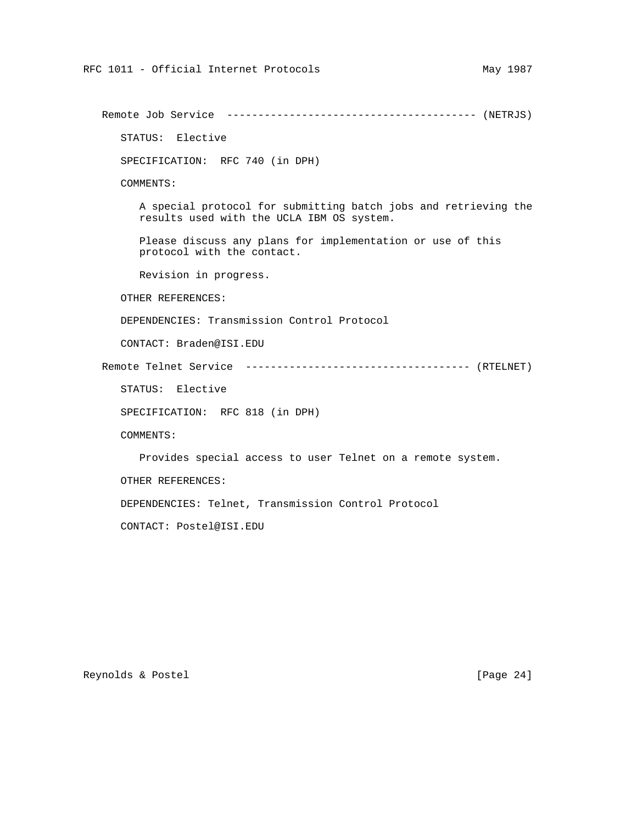Remote Job Service ---------------------------------------- (NETRJS) STATUS: Elective SPECIFICATION: RFC 740 (in DPH) COMMENTS: A special protocol for submitting batch jobs and retrieving the results used with the UCLA IBM OS system. Please discuss any plans for implementation or use of this protocol with the contact. Revision in progress. OTHER REFERENCES: DEPENDENCIES: Transmission Control Protocol CONTACT: Braden@ISI.EDU Remote Telnet Service ------------------------------------ (RTELNET) STATUS: Elective SPECIFICATION: RFC 818 (in DPH) COMMENTS: Provides special access to user Telnet on a remote system. OTHER REFERENCES: DEPENDENCIES: Telnet, Transmission Control Protocol CONTACT: Postel@ISI.EDU

Reynolds & Postel [Page 24]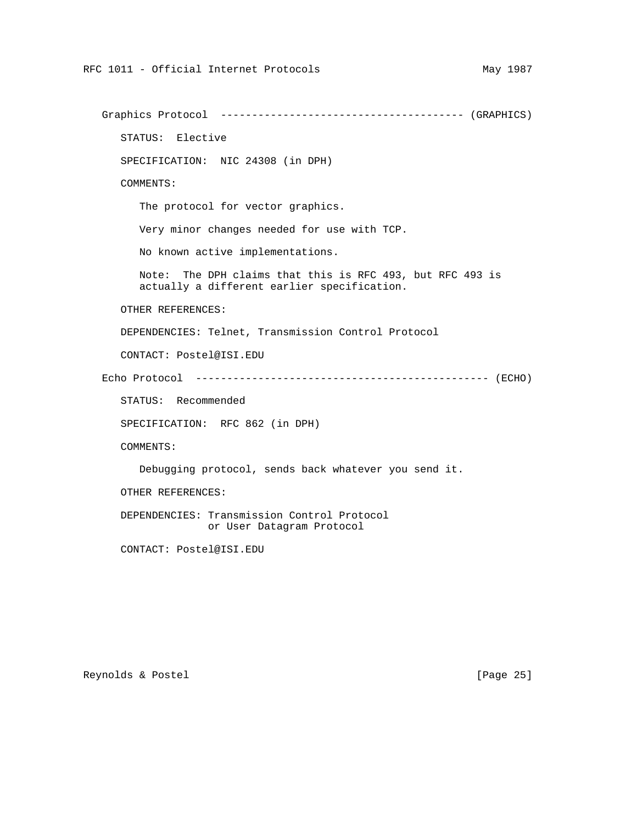Graphics Protocol --------------------------------------- (GRAPHICS) STATUS: Elective SPECIFICATION: NIC 24308 (in DPH) COMMENTS: The protocol for vector graphics. Very minor changes needed for use with TCP. No known active implementations. Note: The DPH claims that this is RFC 493, but RFC 493 is actually a different earlier specification. OTHER REFERENCES: DEPENDENCIES: Telnet, Transmission Control Protocol CONTACT: Postel@ISI.EDU Echo Protocol ----------------------------------------------- (ECHO) STATUS: Recommended SPECIFICATION: RFC 862 (in DPH) COMMENTS: Debugging protocol, sends back whatever you send it. OTHER REFERENCES: DEPENDENCIES: Transmission Control Protocol or User Datagram Protocol CONTACT: Postel@ISI.EDU

Reynolds & Postel [Page 25]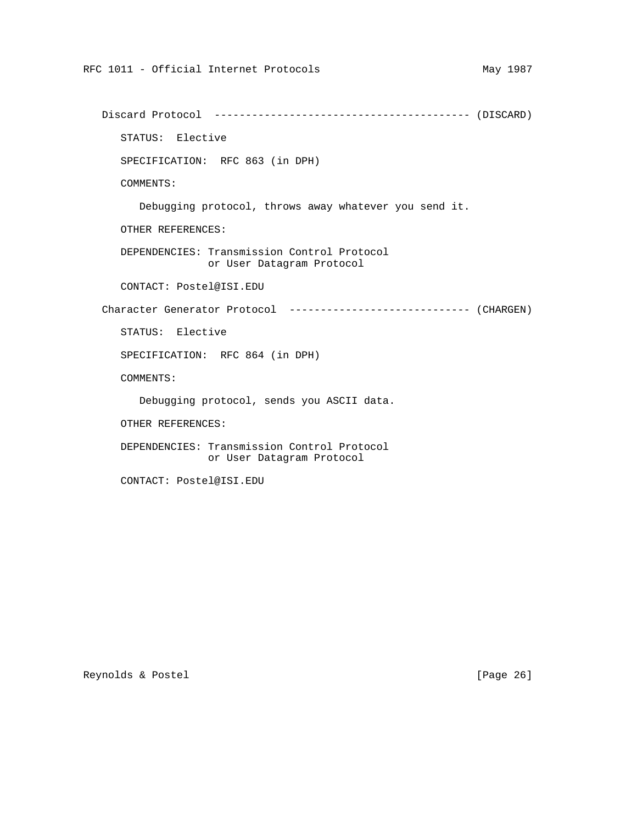Discard Protocol ----------------------------------------- (DISCARD) STATUS: Elective SPECIFICATION: RFC 863 (in DPH) COMMENTS: Debugging protocol, throws away whatever you send it. OTHER REFERENCES: DEPENDENCIES: Transmission Control Protocol or User Datagram Protocol CONTACT: Postel@ISI.EDU Character Generator Protocol ----------------------------- (CHARGEN) STATUS: Elective SPECIFICATION: RFC 864 (in DPH) COMMENTS: Debugging protocol, sends you ASCII data. OTHER REFERENCES: DEPENDENCIES: Transmission Control Protocol or User Datagram Protocol

CONTACT: Postel@ISI.EDU

Reynolds & Postel [Page 26]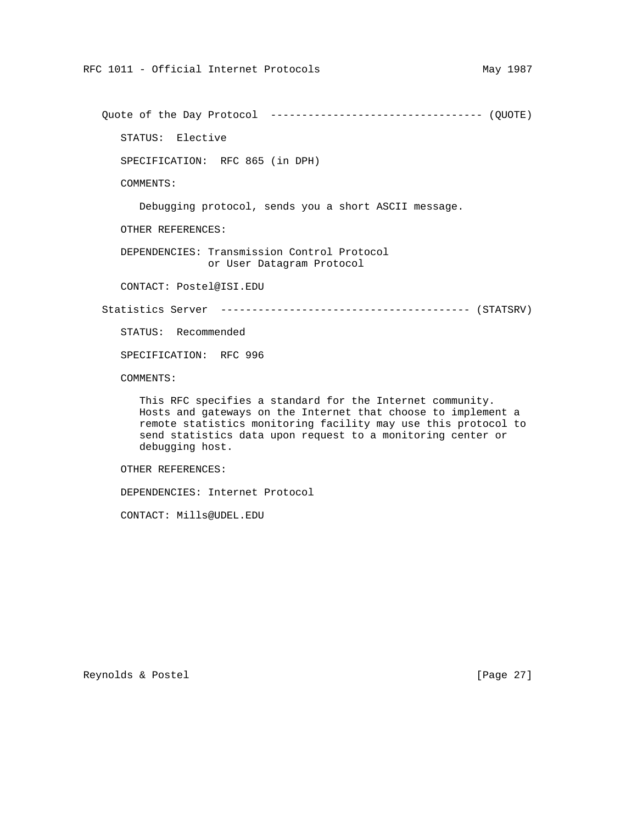Quote of the Day Protocol ---------------------------------- (QUOTE)

STATUS: Elective

SPECIFICATION: RFC 865 (in DPH)

COMMENTS:

Debugging protocol, sends you a short ASCII message.

OTHER REFERENCES:

 DEPENDENCIES: Transmission Control Protocol or User Datagram Protocol

CONTACT: Postel@ISI.EDU

Statistics Server ---------------------------------------- (STATSRV)

STATUS: Recommended

SPECIFICATION: RFC 996

COMMENTS:

 This RFC specifies a standard for the Internet community. Hosts and gateways on the Internet that choose to implement a remote statistics monitoring facility may use this protocol to send statistics data upon request to a monitoring center or debugging host.

OTHER REFERENCES:

DEPENDENCIES: Internet Protocol

CONTACT: Mills@UDEL.EDU

Reynolds & Postel [Page 27]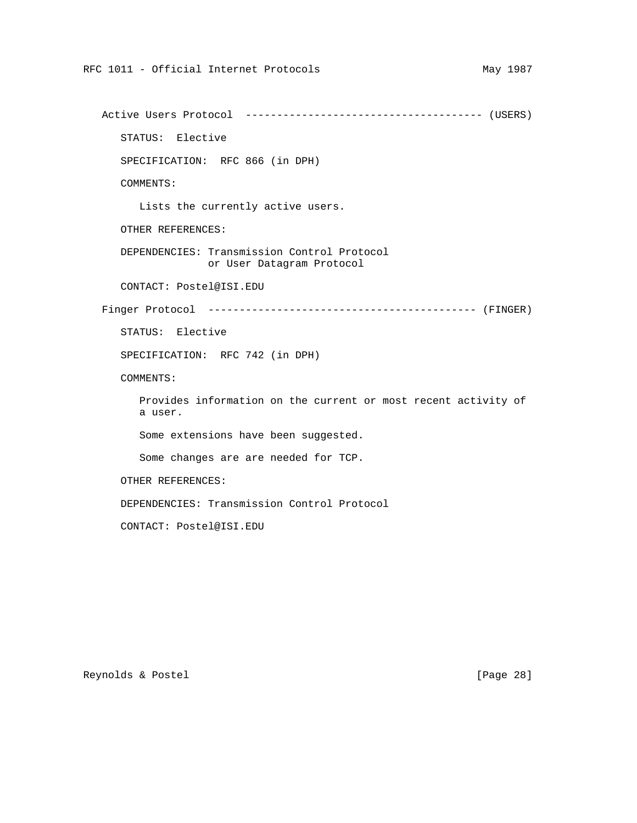Active Users Protocol -------------------------------------- (USERS) STATUS: Elective SPECIFICATION: RFC 866 (in DPH) COMMENTS: Lists the currently active users. OTHER REFERENCES: DEPENDENCIES: Transmission Control Protocol or User Datagram Protocol CONTACT: Postel@ISI.EDU Finger Protocol ------------------------------------------- (FINGER) STATUS: Elective SPECIFICATION: RFC 742 (in DPH) COMMENTS: Provides information on the current or most recent activity of a user. Some extensions have been suggested. Some changes are are needed for TCP. OTHER REFERENCES: DEPENDENCIES: Transmission Control Protocol CONTACT: Postel@ISI.EDU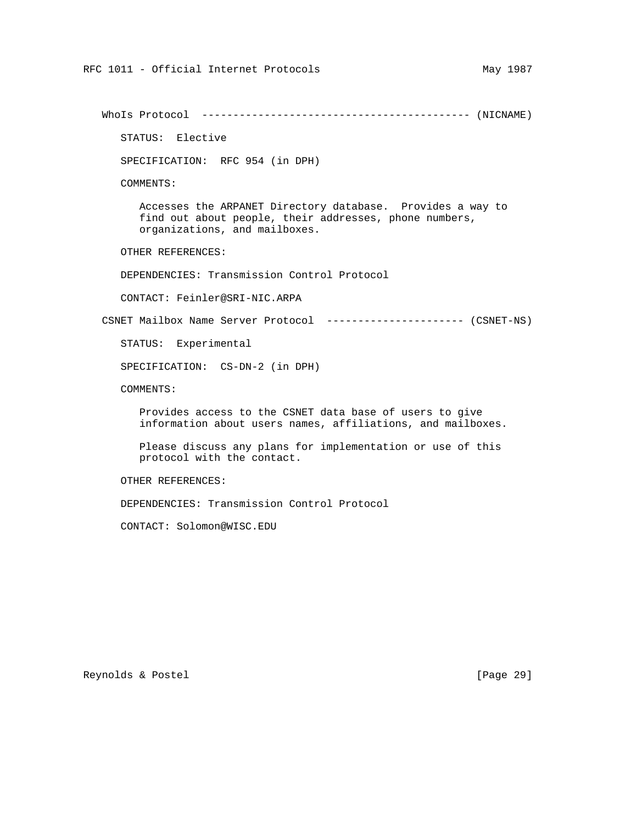WhoIs Protocol ------------------------------------------- (NICNAME)

STATUS: Elective

SPECIFICATION: RFC 954 (in DPH)

COMMENTS:

 Accesses the ARPANET Directory database. Provides a way to find out about people, their addresses, phone numbers, organizations, and mailboxes.

OTHER REFERENCES:

DEPENDENCIES: Transmission Control Protocol

CONTACT: Feinler@SRI-NIC.ARPA

CSNET Mailbox Name Server Protocol ---------------------- (CSNET-NS)

STATUS: Experimental

SPECIFICATION: CS-DN-2 (in DPH)

COMMENTS:

 Provides access to the CSNET data base of users to give information about users names, affiliations, and mailboxes.

 Please discuss any plans for implementation or use of this protocol with the contact.

OTHER REFERENCES:

DEPENDENCIES: Transmission Control Protocol

CONTACT: Solomon@WISC.EDU

Reynolds & Postel [Page 29]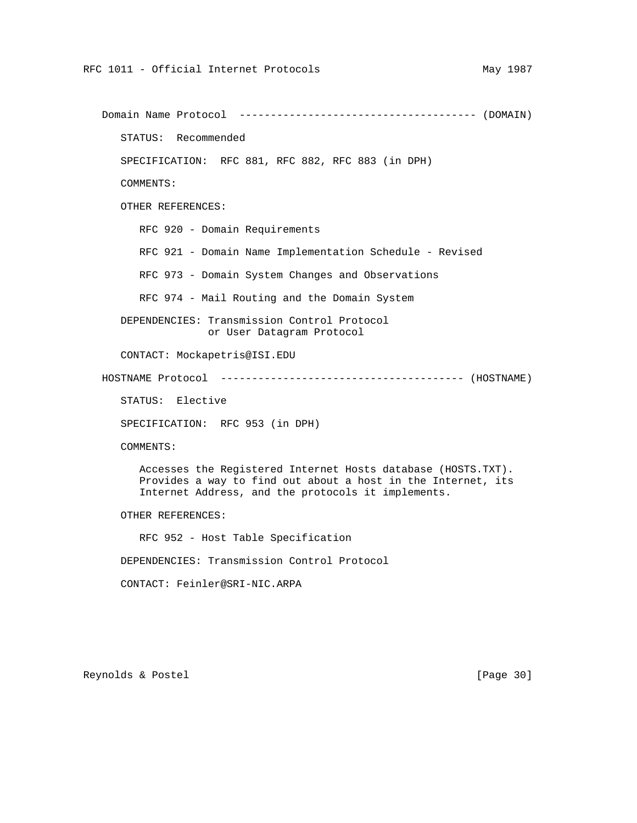Domain Name Protocol -------------------------------------- (DOMAIN) STATUS: Recommended SPECIFICATION: RFC 881, RFC 882, RFC 883 (in DPH) COMMENTS: OTHER REFERENCES: RFC 920 - Domain Requirements RFC 921 - Domain Name Implementation Schedule - Revised RFC 973 - Domain System Changes and Observations RFC 974 - Mail Routing and the Domain System DEPENDENCIES: Transmission Control Protocol or User Datagram Protocol CONTACT: Mockapetris@ISI.EDU HOSTNAME Protocol --------------------------------------- (HOSTNAME) STATUS: Elective SPECIFICATION: RFC 953 (in DPH) COMMENTS: Accesses the Registered Internet Hosts database (HOSTS.TXT). Provides a way to find out about a host in the Internet, its Internet Address, and the protocols it implements. OTHER REFERENCES: RFC 952 - Host Table Specification DEPENDENCIES: Transmission Control Protocol

CONTACT: Feinler@SRI-NIC.ARPA

Reynolds & Postel [Page 30]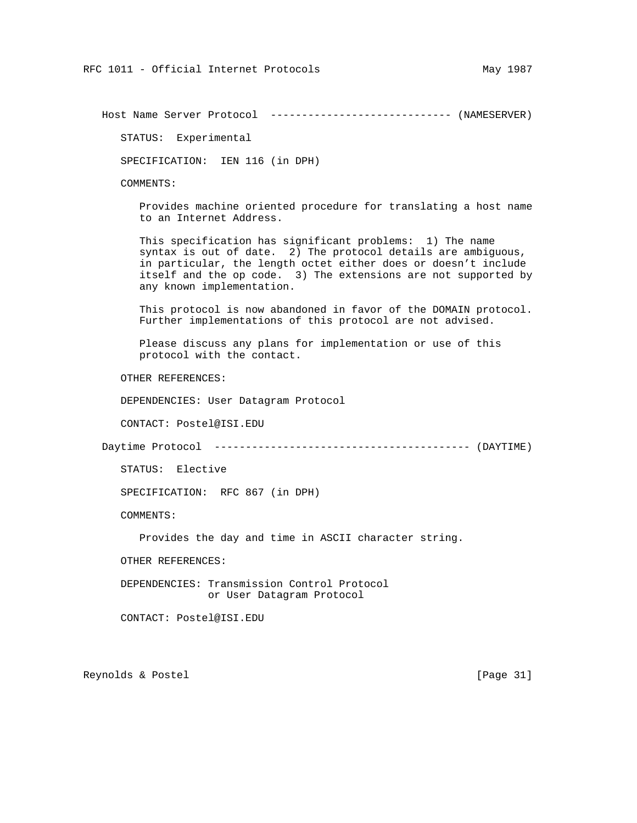Host Name Server Protocol ----------------------------- (NAMESERVER)

STATUS: Experimental

SPECIFICATION: IEN 116 (in DPH)

COMMENTS:

 Provides machine oriented procedure for translating a host name to an Internet Address.

 This specification has significant problems: 1) The name syntax is out of date. 2) The protocol details are ambiguous, in particular, the length octet either does or doesn't include itself and the op code. 3) The extensions are not supported by any known implementation.

 This protocol is now abandoned in favor of the DOMAIN protocol. Further implementations of this protocol are not advised.

 Please discuss any plans for implementation or use of this protocol with the contact.

OTHER REFERENCES:

DEPENDENCIES: User Datagram Protocol

CONTACT: Postel@ISI.EDU

Daytime Protocol ----------------------------------------- (DAYTIME)

STATUS: Elective

SPECIFICATION: RFC 867 (in DPH)

COMMENTS:

Provides the day and time in ASCII character string.

OTHER REFERENCES:

 DEPENDENCIES: Transmission Control Protocol or User Datagram Protocol

CONTACT: Postel@ISI.EDU

Reynolds & Postel [Page 31]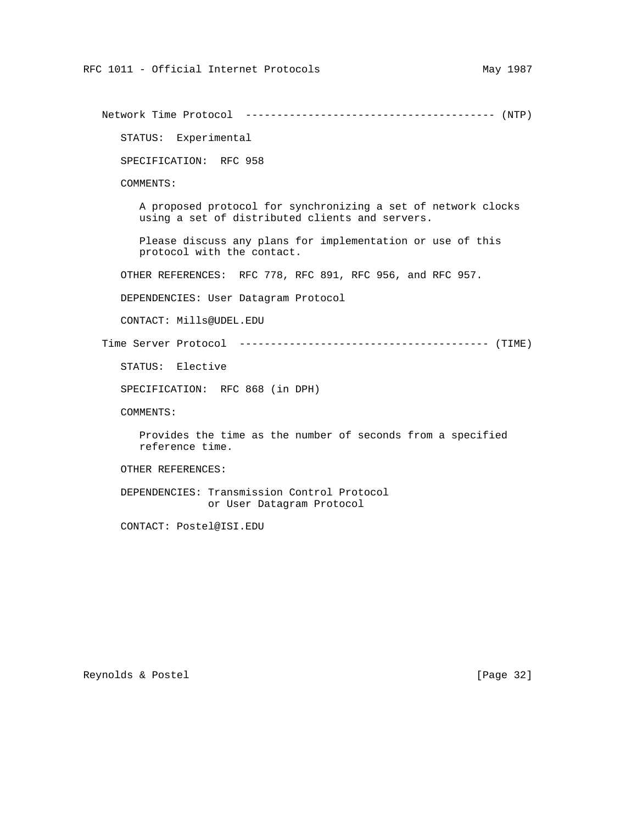Network Time Protocol ---------------------------------------- (NTP) STATUS: Experimental SPECIFICATION: RFC 958 COMMENTS: A proposed protocol for synchronizing a set of network clocks using a set of distributed clients and servers. Please discuss any plans for implementation or use of this protocol with the contact. OTHER REFERENCES: RFC 778, RFC 891, RFC 956, and RFC 957. DEPENDENCIES: User Datagram Protocol CONTACT: Mills@UDEL.EDU Time Server Protocol ---------------------------------------- (TIME) STATUS: Elective SPECIFICATION: RFC 868 (in DPH) COMMENTS: Provides the time as the number of seconds from a specified reference time. OTHER REFERENCES: DEPENDENCIES: Transmission Control Protocol or User Datagram Protocol CONTACT: Postel@ISI.EDU

Reynolds & Postel [Page 32]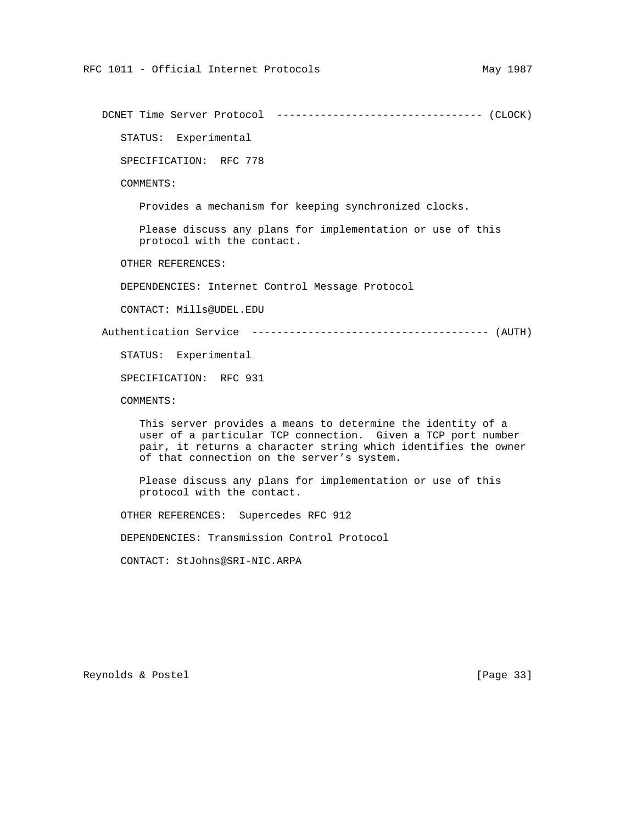DCNET Time Server Protocol --------------------------------- (CLOCK)

STATUS: Experimental

SPECIFICATION: RFC 778

COMMENTS:

Provides a mechanism for keeping synchronized clocks.

 Please discuss any plans for implementation or use of this protocol with the contact.

OTHER REFERENCES:

DEPENDENCIES: Internet Control Message Protocol

CONTACT: Mills@UDEL.EDU

Authentication Service -------------------------------------- (AUTH)

STATUS: Experimental

SPECIFICATION: RFC 931

COMMENTS:

 This server provides a means to determine the identity of a user of a particular TCP connection. Given a TCP port number pair, it returns a character string which identifies the owner of that connection on the server's system.

 Please discuss any plans for implementation or use of this protocol with the contact.

OTHER REFERENCES: Supercedes RFC 912

DEPENDENCIES: Transmission Control Protocol

CONTACT: StJohns@SRI-NIC.ARPA

Reynolds & Postel [Page 33]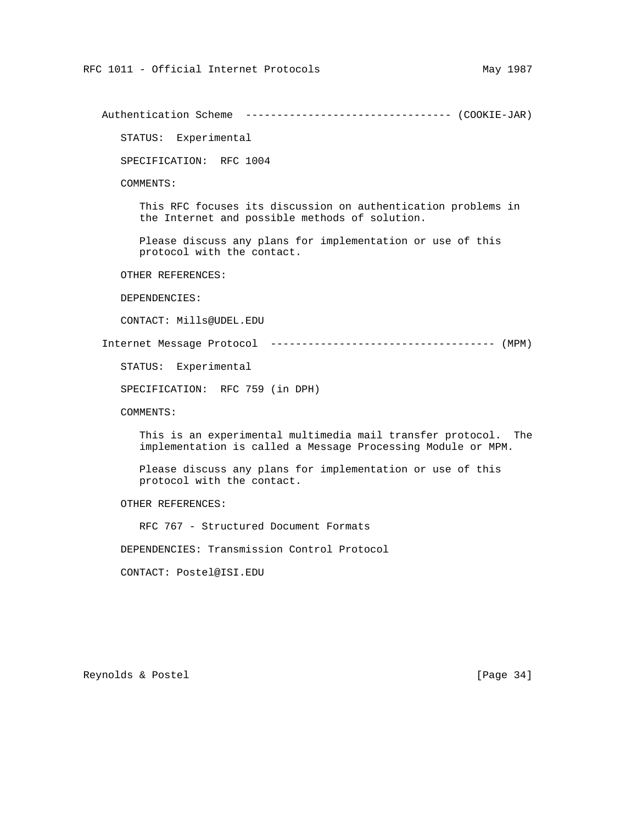Authentication Scheme --------------------------------- (COOKIE-JAR) STATUS: Experimental SPECIFICATION: RFC 1004 COMMENTS: This RFC focuses its discussion on authentication problems in the Internet and possible methods of solution. Please discuss any plans for implementation or use of this protocol with the contact. OTHER REFERENCES: DEPENDENCIES: CONTACT: Mills@UDEL.EDU Internet Message Protocol ------------------------------------ (MPM) STATUS: Experimental SPECIFICATION: RFC 759 (in DPH) COMMENTS: This is an experimental multimedia mail transfer protocol. The implementation is called a Message Processing Module or MPM. Please discuss any plans for implementation or use of this protocol with the contact. OTHER REFERENCES: RFC 767 - Structured Document Formats DEPENDENCIES: Transmission Control Protocol CONTACT: Postel@ISI.EDU

Reynolds & Postel [Page 34]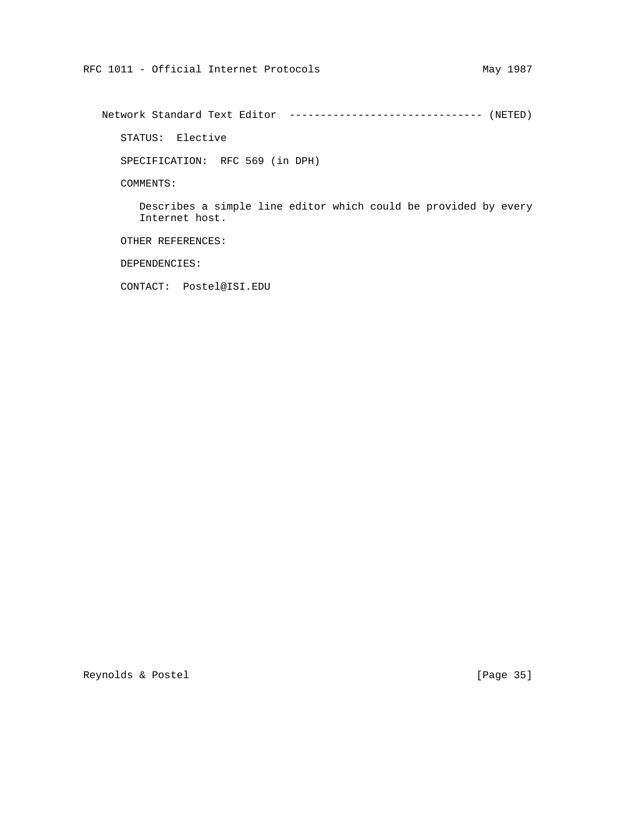Network Standard Text Editor ------------------------------- (NETED)

STATUS: Elective

SPECIFICATION: RFC 569 (in DPH)

COMMENTS:

 Describes a simple line editor which could be provided by every Internet host.

OTHER REFERENCES:

DEPENDENCIES:

CONTACT: Postel@ISI.EDU

Reynolds & Postel [Page 35]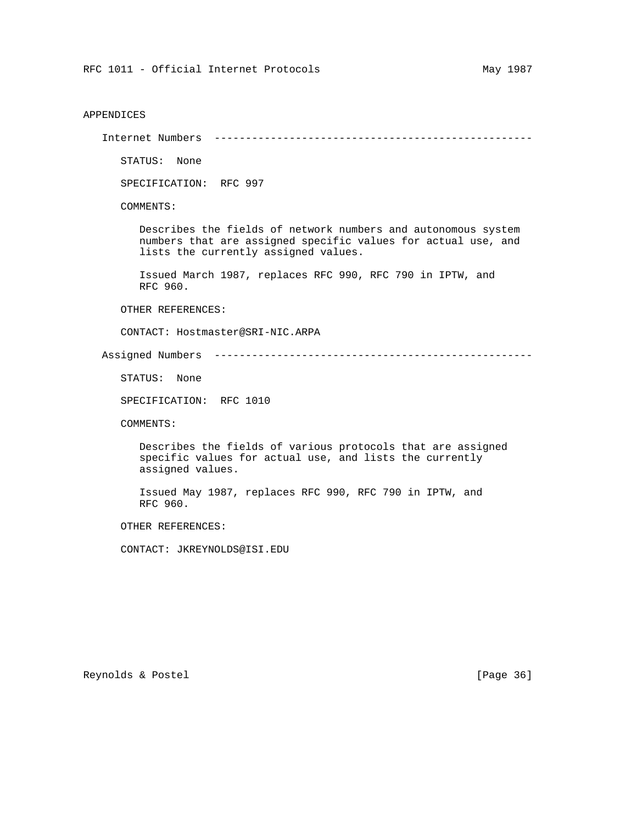## APPENDICES

Internet Numbers ---------------------------------------------------

STATUS: None

SPECIFICATION: RFC 997

COMMENTS:

 Describes the fields of network numbers and autonomous system numbers that are assigned specific values for actual use, and lists the currently assigned values.

 Issued March 1987, replaces RFC 990, RFC 790 in IPTW, and RFC 960.

OTHER REFERENCES:

CONTACT: Hostmaster@SRI-NIC.ARPA

Assigned Numbers ---------------------------------------------------

STATUS: None

SPECIFICATION: RFC 1010

COMMENTS:

 Describes the fields of various protocols that are assigned specific values for actual use, and lists the currently assigned values.

 Issued May 1987, replaces RFC 990, RFC 790 in IPTW, and RFC 960.

OTHER REFERENCES:

CONTACT: JKREYNOLDS@ISI.EDU

Reynolds & Postel [Page 36]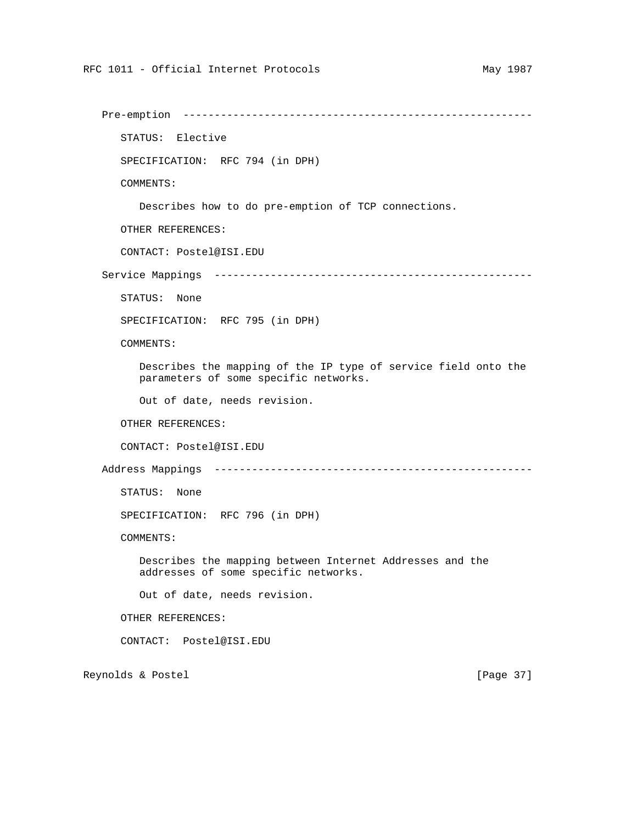```
 Pre-emption --------------------------------------------------------
       STATUS: Elective
      SPECIFICATION: RFC 794 (in DPH)
      COMMENTS:
         Describes how to do pre-emption of TCP connections.
      OTHER REFERENCES:
       CONTACT: Postel@ISI.EDU
   Service Mappings ---------------------------------------------------
      STATUS: None
       SPECIFICATION: RFC 795 (in DPH)
      COMMENTS:
         Describes the mapping of the IP type of service field onto the
         parameters of some specific networks.
         Out of date, needs revision.
      OTHER REFERENCES:
       CONTACT: Postel@ISI.EDU
   Address Mappings ---------------------------------------------------
      STATUS: None
       SPECIFICATION: RFC 796 (in DPH)
      COMMENTS:
         Describes the mapping between Internet Addresses and the
         addresses of some specific networks.
         Out of date, needs revision.
       OTHER REFERENCES:
       CONTACT: Postel@ISI.EDU
Reynolds & Postel [Page 37]
```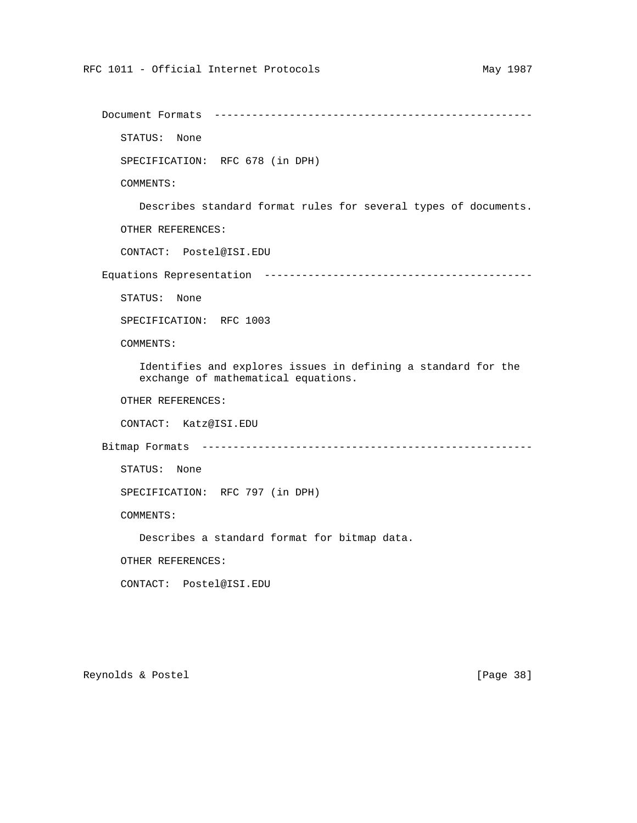```
 Document Formats ---------------------------------------------------
    STATUS: None
    SPECIFICATION: RFC 678 (in DPH)
    COMMENTS:
       Describes standard format rules for several types of documents.
    OTHER REFERENCES:
    CONTACT: Postel@ISI.EDU
 Equations Representation -------------------------------------------
    STATUS: None
    SPECIFICATION: RFC 1003
    COMMENTS:
       Identifies and explores issues in defining a standard for the
       exchange of mathematical equations.
    OTHER REFERENCES:
    CONTACT: Katz@ISI.EDU
 Bitmap Formats -----------------------------------------------------
   STATUS: None
    SPECIFICATION: RFC 797 (in DPH)
   COMMENTS:
       Describes a standard format for bitmap data.
    OTHER REFERENCES:
    CONTACT: Postel@ISI.EDU
```
Reynolds & Postel [Page 38]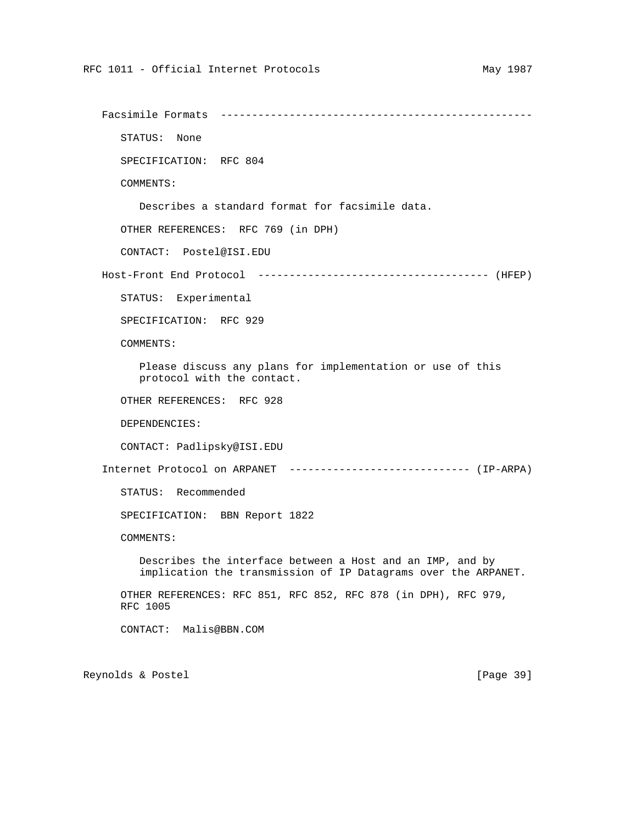```
 Facsimile Formats --------------------------------------------------
    STATUS: None
    SPECIFICATION: RFC 804
    COMMENTS:
       Describes a standard format for facsimile data.
    OTHER REFERENCES: RFC 769 (in DPH)
    CONTACT: Postel@ISI.EDU
 Host-Front End Protocol ------------------------------------- (HFEP)
    STATUS: Experimental
    SPECIFICATION: RFC 929
    COMMENTS:
       Please discuss any plans for implementation or use of this
       protocol with the contact.
    OTHER REFERENCES: RFC 928
    DEPENDENCIES:
    CONTACT: Padlipsky@ISI.EDU
 Internet Protocol on ARPANET ----------------------------- (IP-ARPA)
    STATUS: Recommended
    SPECIFICATION: BBN Report 1822
    COMMENTS:
       Describes the interface between a Host and an IMP, and by
       implication the transmission of IP Datagrams over the ARPANET.
    OTHER REFERENCES: RFC 851, RFC 852, RFC 878 (in DPH), RFC 979,
    RFC 1005
    CONTACT: Malis@BBN.COM
```
Reynolds & Postel [Page 39]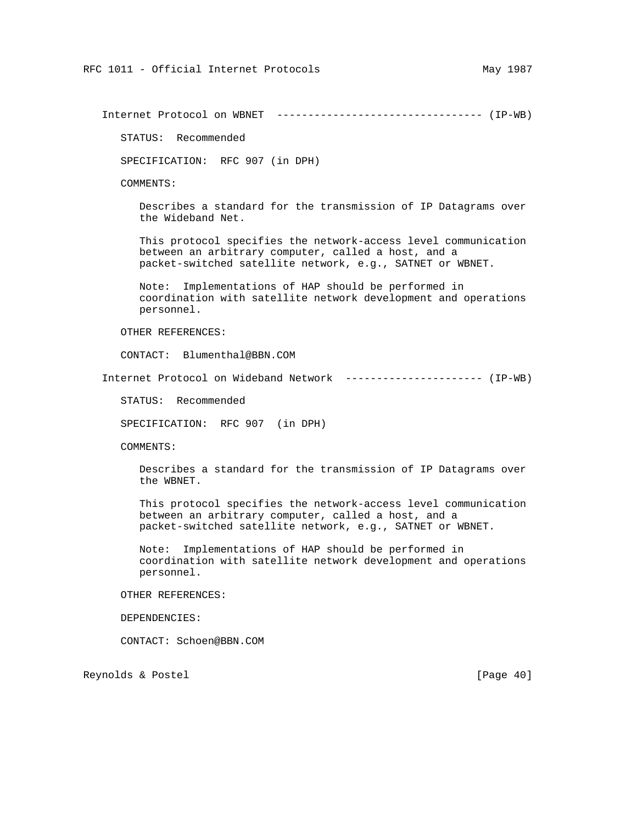Internet Protocol on WBNET --------------------------------- (IP-WB)

STATUS: Recommended

SPECIFICATION: RFC 907 (in DPH)

COMMENTS:

 Describes a standard for the transmission of IP Datagrams over the Wideband Net.

 This protocol specifies the network-access level communication between an arbitrary computer, called a host, and a packet-switched satellite network, e.g., SATNET or WBNET.

 Note: Implementations of HAP should be performed in coordination with satellite network development and operations personnel.

OTHER REFERENCES:

CONTACT: Blumenthal@BBN.COM

Internet Protocol on Wideband Network ---------------------- (IP-WB)

STATUS: Recommended

SPECIFICATION: RFC 907 (in DPH)

COMMENTS:

 Describes a standard for the transmission of IP Datagrams over the WBNET.

 This protocol specifies the network-access level communication between an arbitrary computer, called a host, and a packet-switched satellite network, e.g., SATNET or WBNET.

 Note: Implementations of HAP should be performed in coordination with satellite network development and operations personnel.

OTHER REFERENCES:

DEPENDENCIES:

CONTACT: Schoen@BBN.COM

Reynolds & Postel [Page 40]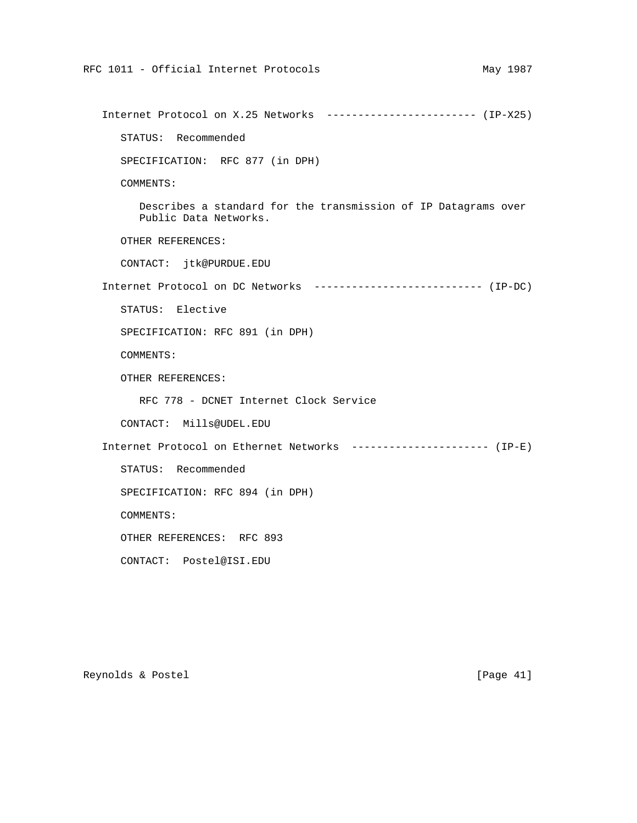```
 Internet Protocol on X.25 Networks ------------------------ (IP-X25)
   STATUS: Recommended
   SPECIFICATION: RFC 877 (in DPH)
   COMMENTS:
      Describes a standard for the transmission of IP Datagrams over
      Public Data Networks.
   OTHER REFERENCES:
   CONTACT: jtk@PURDUE.EDU
 Internet Protocol on DC Networks --------------------------- (IP-DC)
   STATUS: Elective
   SPECIFICATION: RFC 891 (in DPH)
   COMMENTS:
   OTHER REFERENCES:
      RFC 778 - DCNET Internet Clock Service
   CONTACT: Mills@UDEL.EDU
 Internet Protocol on Ethernet Networks ---------------------- (IP-E)
   STATUS: Recommended
   SPECIFICATION: RFC 894 (in DPH)
   COMMENTS:
   OTHER REFERENCES: RFC 893
   CONTACT: Postel@ISI.EDU
```
Reynolds & Postel [Page 41]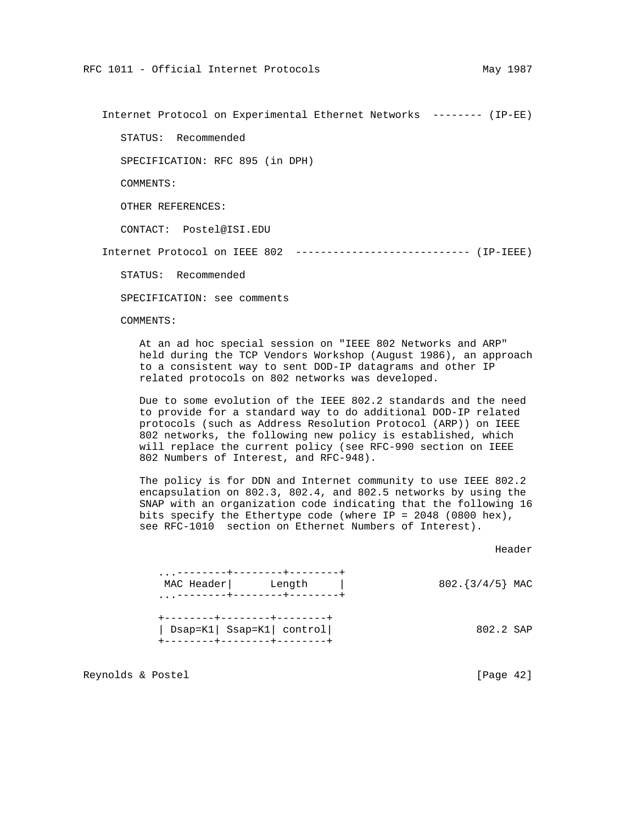Internet Protocol on Experimental Ethernet Networks -------- (IP-EE)

STATUS: Recommended

SPECIFICATION: RFC 895 (in DPH)

COMMENTS:

OTHER REFERENCES:

CONTACT: Postel@ISI.EDU

Internet Protocol on IEEE 802 ---------------------------- (IP-IEEE)

STATUS: Recommended

SPECIFICATION: see comments

COMMENTS:

 At an ad hoc special session on "IEEE 802 Networks and ARP" held during the TCP Vendors Workshop (August 1986), an approach to a consistent way to sent DOD-IP datagrams and other IP related protocols on 802 networks was developed.

 Due to some evolution of the IEEE 802.2 standards and the need to provide for a standard way to do additional DOD-IP related protocols (such as Address Resolution Protocol (ARP)) on IEEE 802 networks, the following new policy is established, which will replace the current policy (see RFC-990 section on IEEE 802 Numbers of Interest, and RFC-948).

 The policy is for DDN and Internet community to use IEEE 802.2 encapsulation on 802.3, 802.4, and 802.5 networks by using the SNAP with an organization code indicating that the following 16 bits specify the Ethertype code (where IP = 2048 (0800 hex), see RFC-1010 section on Ethernet Numbers of Interest).

Header (1999) and the control of the control of the control of the control of the control of the control of the control of the control of the control of the control of the control of the control of the control of the contr

| MAC Header<br>. ---------+--------+------- |                          | Length                                                   | 802. $\{3/4/5\}$ MAC |           |  |
|--------------------------------------------|--------------------------|----------------------------------------------------------|----------------------|-----------|--|
|                                            | -------+--------+------- | Dsap=K1  Ssap=K1  control <br>--------+--------+-------+ |                      | 802.2 SAP |  |

Reynolds & Postel [Page 42]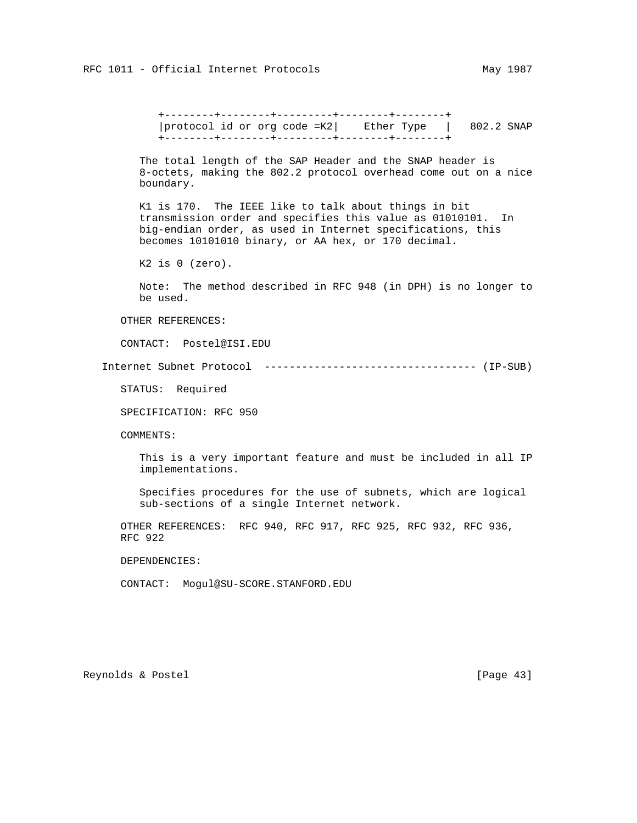+--------+--------+---------+--------+--------+ |protocol id or org code =K2| Ether Type | 802.2 SNAP +--------+--------+---------+--------+--------+

 The total length of the SAP Header and the SNAP header is 8-octets, making the 802.2 protocol overhead come out on a nice boundary.

 K1 is 170. The IEEE like to talk about things in bit transmission order and specifies this value as 01010101. In big-endian order, as used in Internet specifications, this becomes 10101010 binary, or AA hex, or 170 decimal.

K2 is 0 (zero).

 Note: The method described in RFC 948 (in DPH) is no longer to be used.

OTHER REFERENCES:

CONTACT: Postel@ISI.EDU

Internet Subnet Protocol ---------------------------------- (IP-SUB)

STATUS: Required

SPECIFICATION: RFC 950

COMMENTS:

 This is a very important feature and must be included in all IP implementations.

 Specifies procedures for the use of subnets, which are logical sub-sections of a single Internet network.

 OTHER REFERENCES: RFC 940, RFC 917, RFC 925, RFC 932, RFC 936, RFC 922

DEPENDENCIES:

CONTACT: Mogul@SU-SCORE.STANFORD.EDU

Reynolds & Postel [Page 43]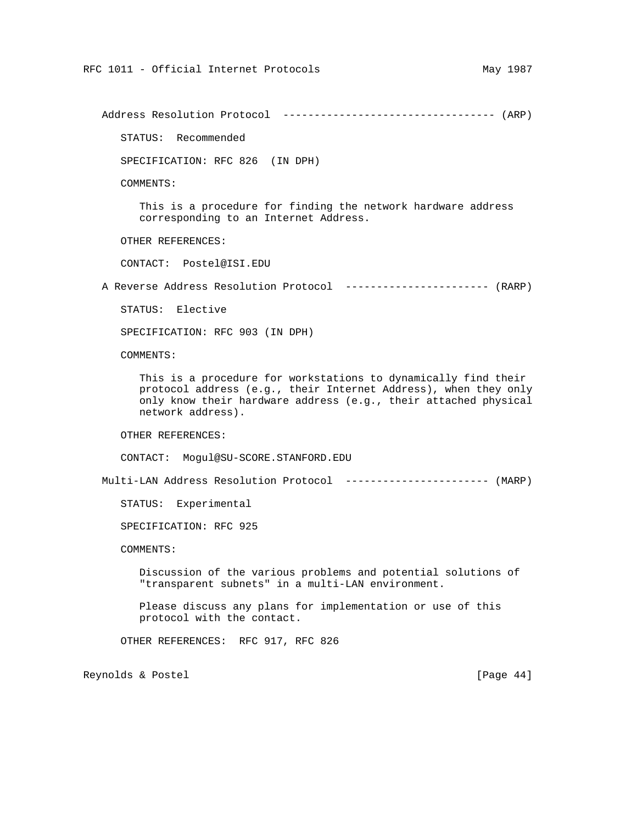Address Resolution Protocol ---------------------------------- (ARP)

STATUS: Recommended

SPECIFICATION: RFC 826 (IN DPH)

COMMENTS:

 This is a procedure for finding the network hardware address corresponding to an Internet Address.

OTHER REFERENCES:

CONTACT: Postel@ISI.EDU

A Reverse Address Resolution Protocol ----------------------- (RARP)

STATUS: Elective

SPECIFICATION: RFC 903 (IN DPH)

COMMENTS:

 This is a procedure for workstations to dynamically find their protocol address (e.g., their Internet Address), when they only only know their hardware address (e.g., their attached physical network address).

OTHER REFERENCES:

CONTACT: Mogul@SU-SCORE.STANFORD.EDU

Multi-LAN Address Resolution Protocol ----------------------- (MARP)

STATUS: Experimental

SPECIFICATION: RFC 925

COMMENTS:

 Discussion of the various problems and potential solutions of "transparent subnets" in a multi-LAN environment.

 Please discuss any plans for implementation or use of this protocol with the contact.

OTHER REFERENCES: RFC 917, RFC 826

Reynolds & Postel [Page 44]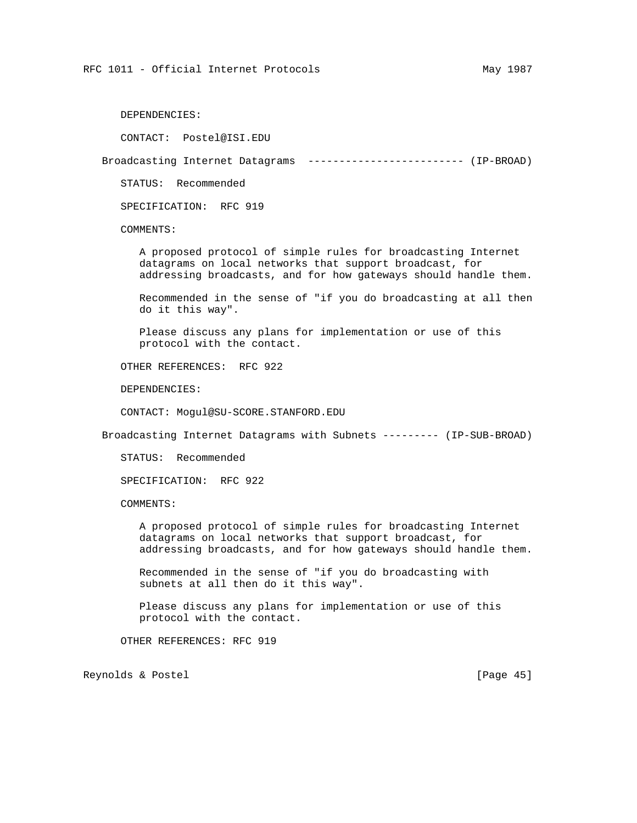DEPENDENCIES:

CONTACT: Postel@ISI.EDU

Broadcasting Internet Datagrams ------------------------- (IP-BROAD)

STATUS: Recommended

SPECIFICATION: RFC 919

COMMENTS:

 A proposed protocol of simple rules for broadcasting Internet datagrams on local networks that support broadcast, for addressing broadcasts, and for how gateways should handle them.

 Recommended in the sense of "if you do broadcasting at all then do it this way".

 Please discuss any plans for implementation or use of this protocol with the contact.

OTHER REFERENCES: RFC 922

DEPENDENCIES:

CONTACT: Mogul@SU-SCORE.STANFORD.EDU

Broadcasting Internet Datagrams with Subnets --------- (IP-SUB-BROAD)

STATUS: Recommended

SPECIFICATION: RFC 922

COMMENTS:

 A proposed protocol of simple rules for broadcasting Internet datagrams on local networks that support broadcast, for addressing broadcasts, and for how gateways should handle them.

 Recommended in the sense of "if you do broadcasting with subnets at all then do it this way".

 Please discuss any plans for implementation or use of this protocol with the contact.

OTHER REFERENCES: RFC 919

Reynolds & Postel [Page 45]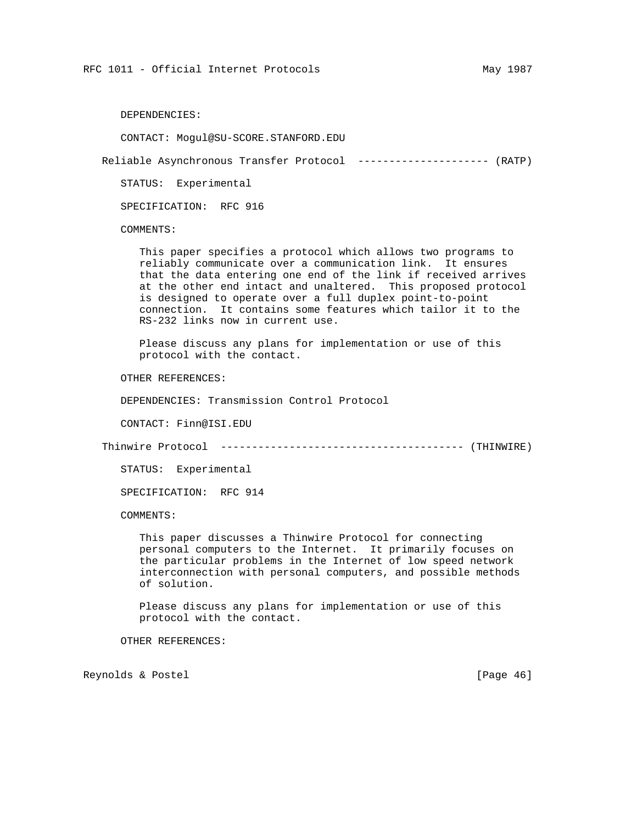DEPENDENCIES:

CONTACT: Mogul@SU-SCORE.STANFORD.EDU

Reliable Asynchronous Transfer Protocol --------------------- (RATP)

STATUS: Experimental

SPECIFICATION: RFC 916

COMMENTS:

 This paper specifies a protocol which allows two programs to reliably communicate over a communication link. It ensures that the data entering one end of the link if received arrives at the other end intact and unaltered. This proposed protocol is designed to operate over a full duplex point-to-point connection. It contains some features which tailor it to the RS-232 links now in current use.

 Please discuss any plans for implementation or use of this protocol with the contact.

OTHER REFERENCES:

DEPENDENCIES: Transmission Control Protocol

CONTACT: Finn@ISI.EDU

Thinwire Protocol --------------------------------------- (THINWIRE)

STATUS: Experimental

SPECIFICATION: RFC 914

COMMENTS:

 This paper discusses a Thinwire Protocol for connecting personal computers to the Internet. It primarily focuses on the particular problems in the Internet of low speed network interconnection with personal computers, and possible methods of solution.

 Please discuss any plans for implementation or use of this protocol with the contact.

OTHER REFERENCES:

Reynolds & Postel [Page 46]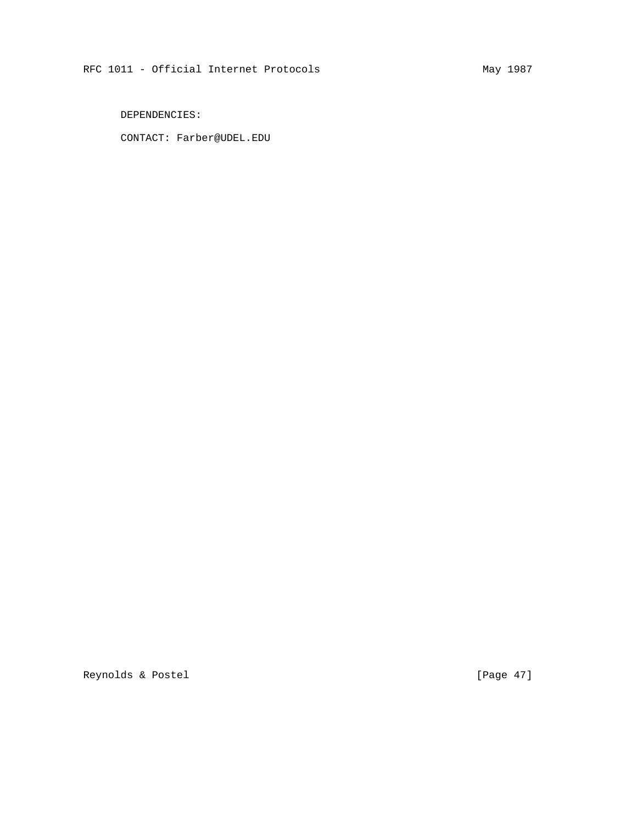DEPENDENCIES:

CONTACT: Farber@UDEL.EDU

Reynolds & Postel [Page 47]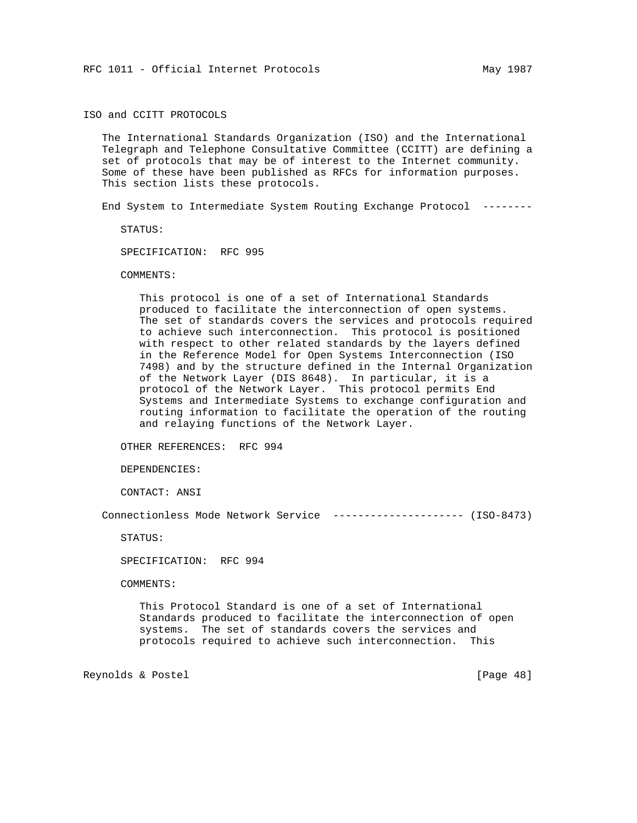ISO and CCITT PROTOCOLS

 The International Standards Organization (ISO) and the International Telegraph and Telephone Consultative Committee (CCITT) are defining a set of protocols that may be of interest to the Internet community. Some of these have been published as RFCs for information purposes. This section lists these protocols.

End System to Intermediate System Routing Exchange Protocol --------

STATUS:

SPECIFICATION: RFC 995

COMMENTS:

 This protocol is one of a set of International Standards produced to facilitate the interconnection of open systems. The set of standards covers the services and protocols required to achieve such interconnection. This protocol is positioned with respect to other related standards by the layers defined in the Reference Model for Open Systems Interconnection (ISO 7498) and by the structure defined in the Internal Organization of the Network Layer (DIS 8648). In particular, it is a protocol of the Network Layer. This protocol permits End Systems and Intermediate Systems to exchange configuration and routing information to facilitate the operation of the routing and relaying functions of the Network Layer.

OTHER REFERENCES: RFC 994

DEPENDENCIES:

CONTACT: ANSI

Connectionless Mode Network Service --------------------- (ISO-8473)

STATUS:

SPECIFICATION: RFC 994

COMMENTS:

 This Protocol Standard is one of a set of International Standards produced to facilitate the interconnection of open systems. The set of standards covers the services and protocols required to achieve such interconnection. This

Reynolds & Postel [Page 48]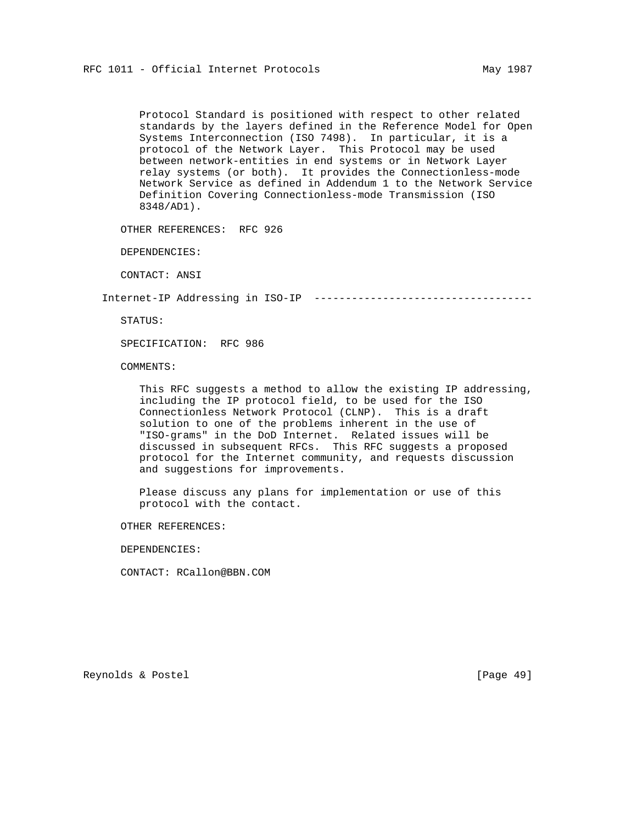Protocol Standard is positioned with respect to other related standards by the layers defined in the Reference Model for Open Systems Interconnection (ISO 7498). In particular, it is a protocol of the Network Layer. This Protocol may be used between network-entities in end systems or in Network Layer relay systems (or both). It provides the Connectionless-mode Network Service as defined in Addendum 1 to the Network Service Definition Covering Connectionless-mode Transmission (ISO 8348/AD1).

OTHER REFERENCES: RFC 926

DEPENDENCIES:

CONTACT: ANSI

Internet-IP Addressing in ISO-IP -----------------------------------

STATUS:

SPECIFICATION: RFC 986

COMMENTS:

 This RFC suggests a method to allow the existing IP addressing, including the IP protocol field, to be used for the ISO Connectionless Network Protocol (CLNP). This is a draft solution to one of the problems inherent in the use of "ISO-grams" in the DoD Internet. Related issues will be discussed in subsequent RFCs. This RFC suggests a proposed protocol for the Internet community, and requests discussion and suggestions for improvements.

 Please discuss any plans for implementation or use of this protocol with the contact.

OTHER REFERENCES:

DEPENDENCIES:

CONTACT: RCallon@BBN.COM

Reynolds & Postel [Page 49]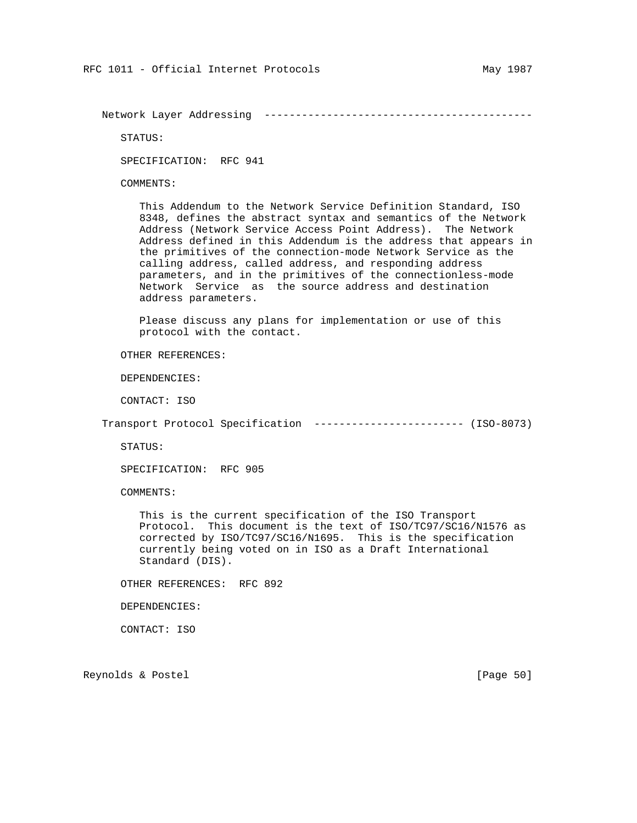Network Layer Addressing -------------------------------------------

STATUS:

SPECIFICATION: RFC 941

COMMENTS:

 This Addendum to the Network Service Definition Standard, ISO 8348, defines the abstract syntax and semantics of the Network Address (Network Service Access Point Address). The Network Address defined in this Addendum is the address that appears in the primitives of the connection-mode Network Service as the calling address, called address, and responding address parameters, and in the primitives of the connectionless-mode Network Service as the source address and destination address parameters.

 Please discuss any plans for implementation or use of this protocol with the contact.

OTHER REFERENCES:

DEPENDENCIES:

CONTACT: ISO

Transport Protocol Specification ------------------------ (ISO-8073)

STATUS:

SPECIFICATION: RFC 905

COMMENTS:

 This is the current specification of the ISO Transport Protocol. This document is the text of ISO/TC97/SC16/N1576 as corrected by ISO/TC97/SC16/N1695. This is the specification currently being voted on in ISO as a Draft International Standard (DIS).

OTHER REFERENCES: RFC 892

DEPENDENCIES:

CONTACT: ISO

Reynolds & Postel [Page 50]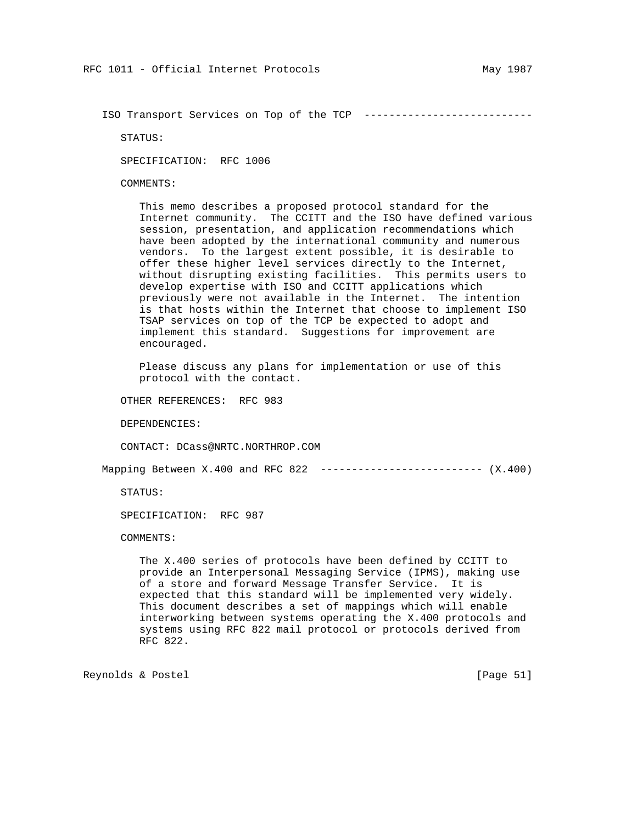ISO Transport Services on Top of the TCP ---------------------------

STATUS:

SPECIFICATION: RFC 1006

COMMENTS:

 This memo describes a proposed protocol standard for the Internet community. The CCITT and the ISO have defined various session, presentation, and application recommendations which have been adopted by the international community and numerous vendors. To the largest extent possible, it is desirable to offer these higher level services directly to the Internet, without disrupting existing facilities. This permits users to develop expertise with ISO and CCITT applications which previously were not available in the Internet. The intention is that hosts within the Internet that choose to implement ISO TSAP services on top of the TCP be expected to adopt and implement this standard. Suggestions for improvement are encouraged.

 Please discuss any plans for implementation or use of this protocol with the contact.

OTHER REFERENCES: RFC 983

DEPENDENCIES:

CONTACT: DCass@NRTC.NORTHROP.COM

Mapping Between X.400 and RFC 822 -------------------------- (X.400)

STATUS:

SPECIFICATION: RFC 987

COMMENTS:

 The X.400 series of protocols have been defined by CCITT to provide an Interpersonal Messaging Service (IPMS), making use of a store and forward Message Transfer Service. It is expected that this standard will be implemented very widely. This document describes a set of mappings which will enable interworking between systems operating the X.400 protocols and systems using RFC 822 mail protocol or protocols derived from RFC 822.

Reynolds & Postel [Page 51]